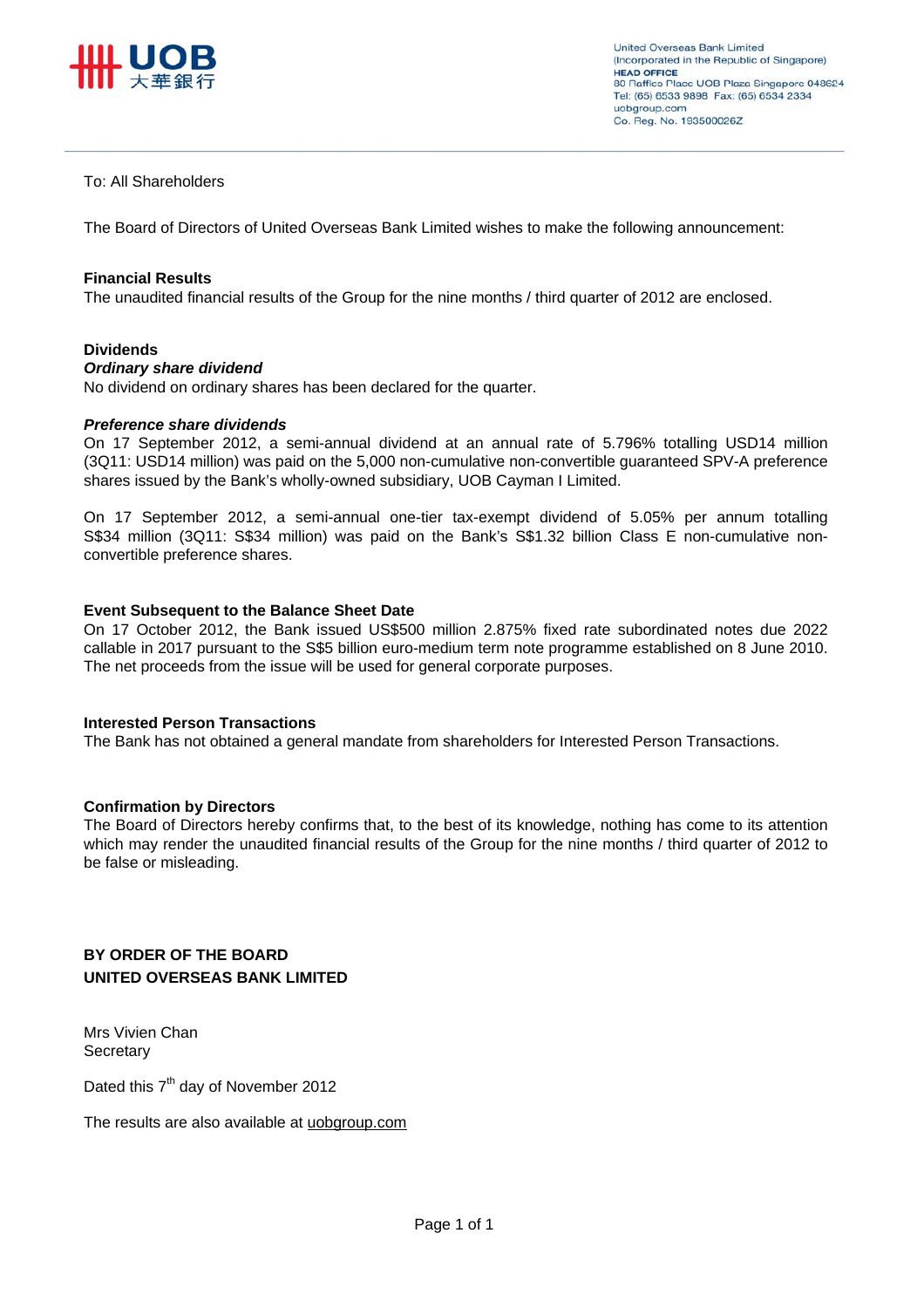

#### To: All Shareholders

The Board of Directors of United Overseas Bank Limited wishes to make the following announcement:

#### **Financial Results**

The unaudited financial results of the Group for the nine months / third quarter of 2012 are enclosed.

#### **Dividends**

#### *Ordinary share dividend*

No dividend on ordinary shares has been declared for the quarter.

#### *Preference share dividends*

On 17 September 2012, a semi-annual dividend at an annual rate of 5.796% totalling USD14 million (3Q11: USD14 million) was paid on the 5,000 non-cumulative non-convertible guaranteed SPV-A preference shares issued by the Bank's wholly-owned subsidiary, UOB Cayman I Limited.

On 17 September 2012, a semi-annual one-tier tax-exempt dividend of 5.05% per annum totalling S\$34 million (3Q11: S\$34 million) was paid on the Bank's S\$1.32 billion Class E non-cumulative nonconvertible preference shares.

#### **Event Subsequent to the Balance Sheet Date**

On 17 October 2012, the Bank issued US\$500 million 2.875% fixed rate subordinated notes due 2022 callable in 2017 pursuant to the S\$5 billion euro-medium term note programme established on 8 June 2010. The net proceeds from the issue will be used for general corporate purposes.

#### **Interested Person Transactions**

The Bank has not obtained a general mandate from shareholders for Interested Person Transactions.

#### **Confirmation by Directors**

The Board of Directors hereby confirms that, to the best of its knowledge, nothing has come to its attention which may render the unaudited financial results of the Group for the nine months / third quarter of 2012 to be false or misleading.

#### **BY ORDER OF THE BOARD UNITED OVERSEAS BANK LIMITED**

Mrs Vivien Chan **Secretary** 

Dated this 7<sup>th</sup> day of November 2012

The results are also available at uobgroup.com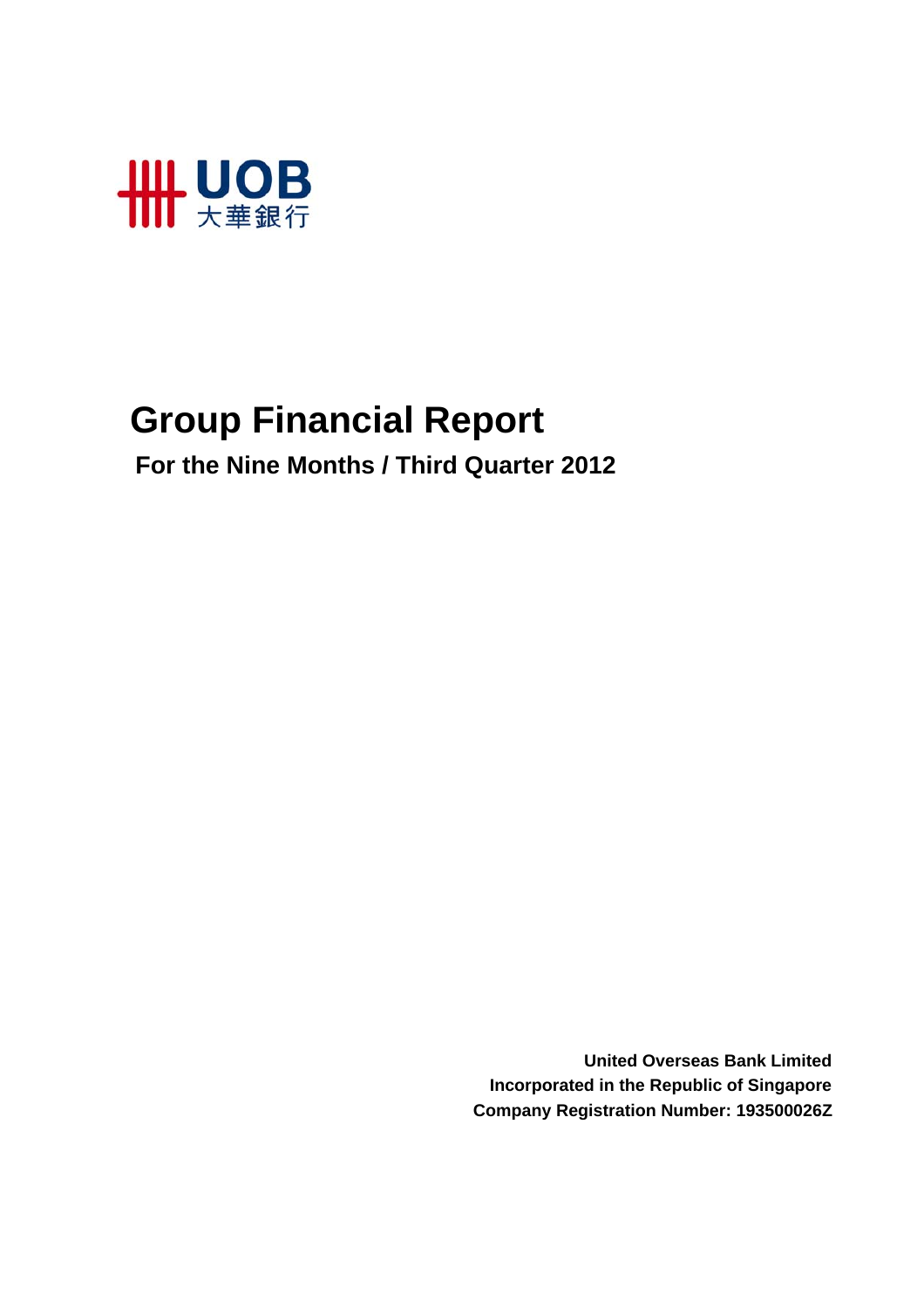

# **Group Financial Report**

 **For the Nine Months / Third Quarter 2012**

**United Overseas Bank Limited Incorporated in the Republic of Singapore Company Registration Number: 193500026Z**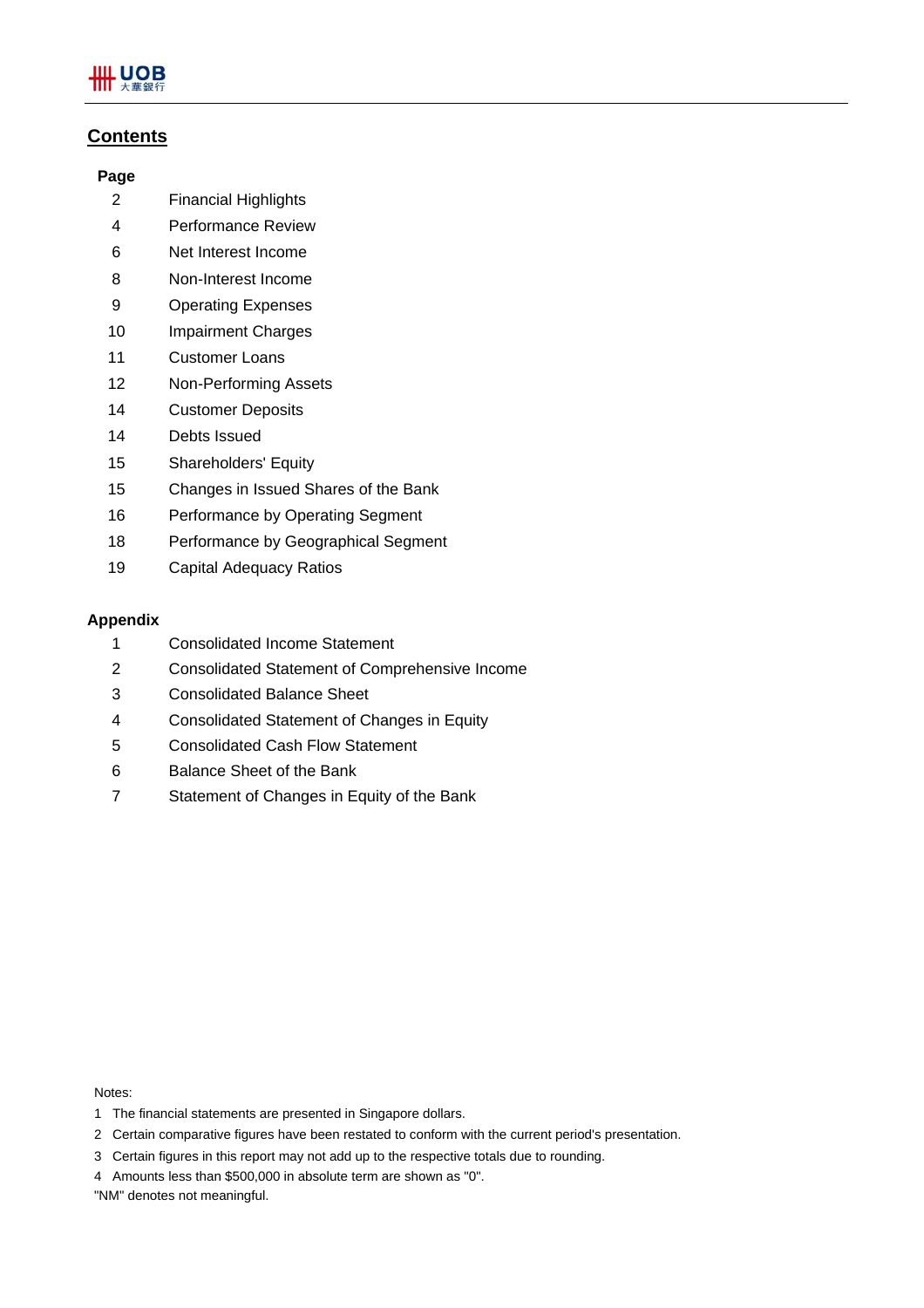

#### **Contents**

#### **Page**

- 2 Financial Highlights
- 4 Performance Review
- 6 Net Interest Income
- 8 Non-Interest Income
- 9 Operating Expenses
- 10 Impairment Charges
- 11 Customer Loans
- 12 Non-Performing Assets
- 14 Customer Deposits
- 14 Debts Issued
- 15 Shareholders' Equity
- 15 Changes in Issued Shares of the Bank
- 16 Performance by Operating Segment
- 18 Performance by Geographical Segment
- 19 Capital Adequacy Ratios

#### **Appendix**

- 1 Consolidated Income Statement
- 2 Consolidated Statement of Comprehensive Income
- 3 Consolidated Balance Sheet
- 4 Consolidated Statement of Changes in Equity
- 5 Consolidated Cash Flow Statement
- 6 Balance Sheet of the Bank
- 7 Statement of Changes in Equity of the Bank

Notes:

- 1 The financial statements are presented in Singapore dollars.
- 2 Certain comparative figures have been restated to conform with the current period's presentation.
- 3 Certain figures in this report may not add up to the respective totals due to rounding.
- 4 Amounts less than \$500,000 in absolute term are shown as "0".

"NM" denotes not meaningful.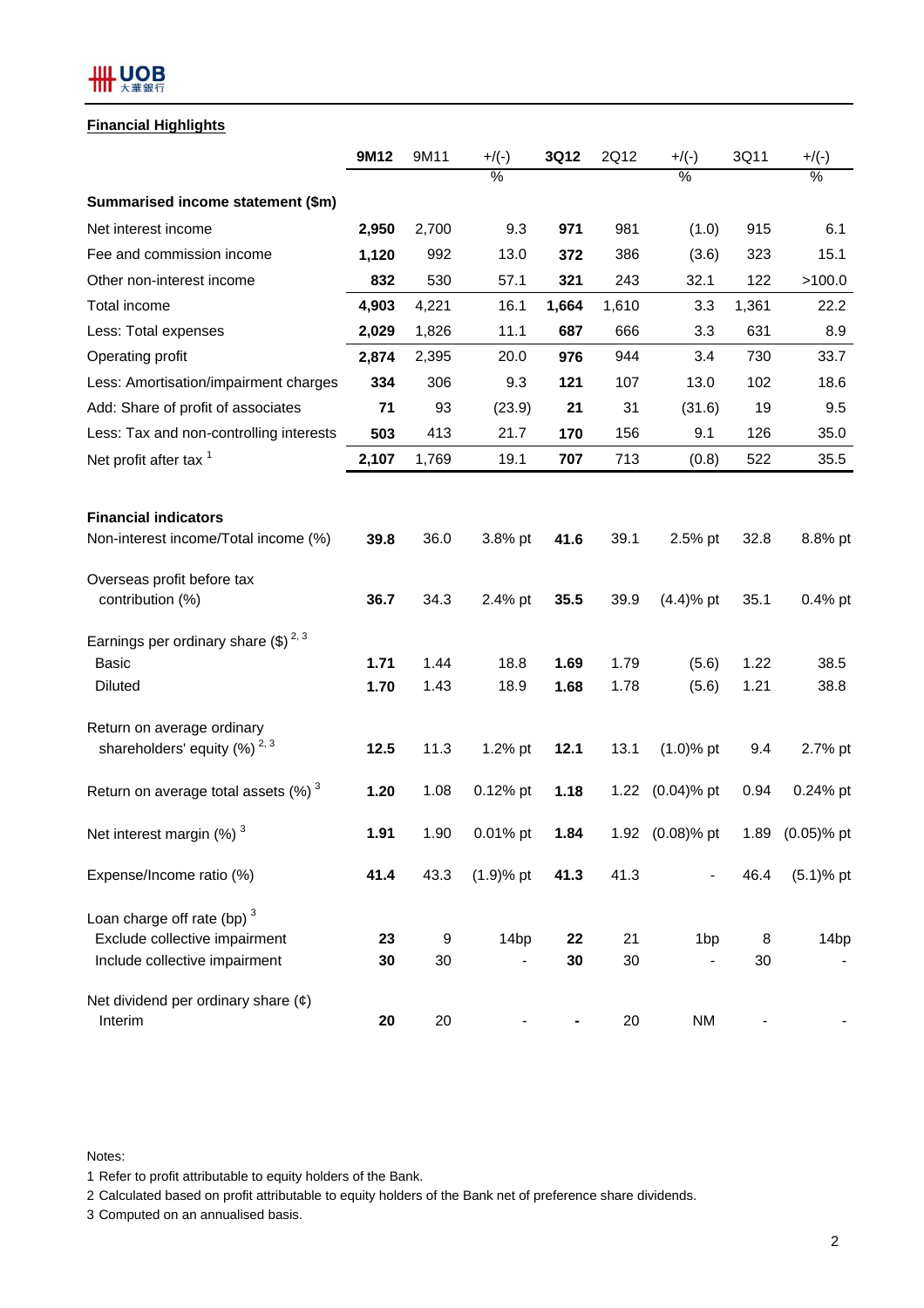## **HH UOB**

#### **Financial Highlights**

|                                                                | 9M12  | 9M11  | $+$ /(-)         | 3Q12  | 2Q12  | $+$ /(-)        | 3Q11  | $+$ /(-)         |
|----------------------------------------------------------------|-------|-------|------------------|-------|-------|-----------------|-------|------------------|
|                                                                |       |       | $\%$             |       |       | $\%$            |       | $\%$             |
| Summarised income statement (\$m)                              |       |       |                  |       |       |                 |       |                  |
| Net interest income                                            | 2,950 | 2,700 | 9.3              | 971   | 981   | (1.0)           | 915   | 6.1              |
| Fee and commission income                                      | 1,120 | 992   | 13.0             | 372   | 386   | (3.6)           | 323   | 15.1             |
| Other non-interest income                                      | 832   | 530   | 57.1             | 321   | 243   | 32.1            | 122   | >100.0           |
| Total income                                                   | 4,903 | 4,221 | 16.1             | 1,664 | 1,610 | 3.3             | 1,361 | 22.2             |
| Less: Total expenses                                           | 2,029 | 1,826 | 11.1             | 687   | 666   | 3.3             | 631   | 8.9              |
| Operating profit                                               | 2,874 | 2,395 | 20.0             | 976   | 944   | 3.4             | 730   | 33.7             |
| Less: Amortisation/impairment charges                          | 334   | 306   | 9.3              | 121   | 107   | 13.0            | 102   | 18.6             |
| Add: Share of profit of associates                             | 71    | 93    | (23.9)           | 21    | 31    | (31.6)          | 19    | 9.5              |
| Less: Tax and non-controlling interests                        | 503   | 413   | 21.7             | 170   | 156   | 9.1             | 126   | 35.0             |
| Net profit after tax <sup>1</sup>                              | 2,107 | 1,769 | 19.1             | 707   | 713   | (0.8)           | 522   | 35.5             |
|                                                                |       |       |                  |       |       |                 |       |                  |
| <b>Financial indicators</b>                                    |       |       |                  |       |       |                 |       |                  |
| Non-interest income/Total income (%)                           | 39.8  | 36.0  | 3.8% pt          | 41.6  | 39.1  | 2.5% pt         | 32.8  | 8.8% pt          |
| Overseas profit before tax                                     |       |       |                  |       |       |                 |       |                  |
| contribution (%)                                               | 36.7  | 34.3  | 2.4% pt          | 35.5  | 39.9  | $(4.4)%$ pt     | 35.1  | 0.4% pt          |
| Earnings per ordinary share $(\text{$\$})^{2,3}$               |       |       |                  |       |       |                 |       |                  |
| <b>Basic</b>                                                   | 1.71  | 1.44  | 18.8             | 1.69  | 1.79  | (5.6)           | 1.22  | 38.5             |
| <b>Diluted</b>                                                 | 1.70  | 1.43  | 18.9             | 1.68  | 1.78  | (5.6)           | 1.21  | 38.8             |
| Return on average ordinary                                     |       |       |                  |       |       |                 |       |                  |
| shareholders' equity $(%)^{2,3}$                               | 12.5  | 11.3  | 1.2% pt          | 12.1  | 13.1  | $(1.0)$ % pt    | 9.4   | 2.7% pt          |
| Return on average total assets $(\%)$ <sup>3</sup>             | 1.20  | 1.08  | 0.12% pt         | 1.18  | 1.22  | $(0.04)$ % pt   | 0.94  | 0.24% pt         |
| Net interest margin (%) <sup>3</sup>                           | 1.91  | 1.90  | 0.01% pt         | 1.84  |       | 1.92 (0.08)% pt | 1.89  | $(0.05)$ % pt    |
| Expense/Income ratio (%)                                       | 41.4  | 43.3  | $(1.9)$ % pt     | 41.3  | 41.3  |                 | 46.4  | $(5.1)$ % pt     |
|                                                                |       |       |                  |       |       |                 |       |                  |
| Loan charge off rate (bp) $3$<br>Exclude collective impairment | 23    | 9     | 14 <sub>bp</sub> | 22    | 21    | 1 <sub>bp</sub> | 8     | 14 <sub>bp</sub> |
| Include collective impairment                                  | 30    | 30    |                  | 30    | 30    |                 | 30    |                  |
|                                                                |       |       |                  |       |       |                 |       |                  |
| Net dividend per ordinary share $(\phi)$<br>Interim            | 20    | 20    |                  |       | 20    | <b>NM</b>       |       |                  |

Notes:

1 Refer to profit attributable to equity holders of the Bank.

2 Calculated based on profit attributable to equity holders of the Bank net of preference share dividends.

3 Computed on an annualised basis.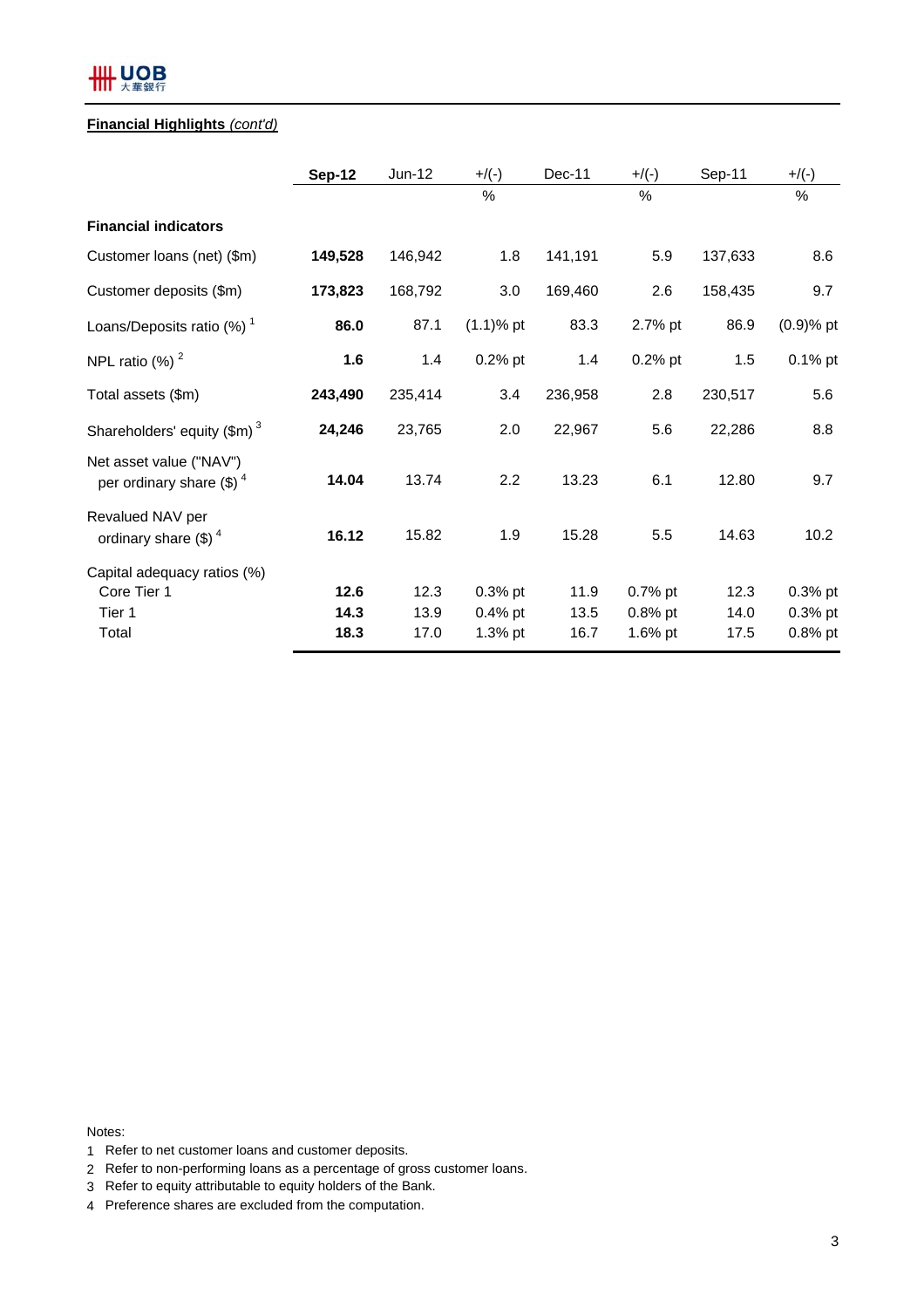#### **Financial Highlights** *(cont'd)*

|                                                               | <b>Sep-12</b>        | $Jun-12$             | $+$ /(-)                             | Dec-11               | $+/(-)$                          | Sep-11               | $+/(-)$                             |
|---------------------------------------------------------------|----------------------|----------------------|--------------------------------------|----------------------|----------------------------------|----------------------|-------------------------------------|
|                                                               |                      |                      | $\%$                                 |                      | %                                |                      | %                                   |
| <b>Financial indicators</b>                                   |                      |                      |                                      |                      |                                  |                      |                                     |
| Customer loans (net) (\$m)                                    | 149,528              | 146,942              | 1.8                                  | 141,191              | 5.9                              | 137,633              | 8.6                                 |
| Customer deposits (\$m)                                       | 173,823              | 168,792              | 3.0                                  | 169,460              | 2.6                              | 158,435              | 9.7                                 |
| Loans/Deposits ratio $(\%)$ <sup>1</sup>                      | 86.0                 | 87.1                 | $(1.1)$ % pt                         | 83.3                 | 2.7% pt                          | 86.9                 | $(0.9)$ % pt                        |
| NPL ratio $(\%)$ <sup>2</sup>                                 | 1.6                  | 1.4                  | $0.2%$ pt                            | 1.4                  | $0.2%$ pt                        | 1.5                  | 0.1% pt                             |
| Total assets (\$m)                                            | 243,490              | 235,414              | 3.4                                  | 236,958              | 2.8                              | 230,517              | 5.6                                 |
| Shareholders' equity $(\text{\$m})^3$                         | 24,246               | 23,765               | 2.0                                  | 22,967               | 5.6                              | 22,286               | 8.8                                 |
| Net asset value ("NAV")<br>per ordinary share $(\text{\$})^4$ | 14.04                | 13.74                | 2.2                                  | 13.23                | 6.1                              | 12.80                | 9.7                                 |
| Revalued NAV per<br>ordinary share $(\text{\$})^4$            | 16.12                | 15.82                | 1.9                                  | 15.28                | 5.5                              | 14.63                | 10.2                                |
| Capital adequacy ratios (%)<br>Core Tier 1<br>Tier 1<br>Total | 12.6<br>14.3<br>18.3 | 12.3<br>13.9<br>17.0 | $0.3%$ pt<br>$0.4%$ pt<br>$1.3\%$ pt | 11.9<br>13.5<br>16.7 | 0.7% pt<br>0.8% pt<br>$1.6\%$ pt | 12.3<br>14.0<br>17.5 | $0.3%$ pt<br>$0.3%$ pt<br>$0.8%$ pt |
|                                                               |                      |                      |                                      |                      |                                  |                      |                                     |

Notes:

- 1 Refer to net customer loans and customer deposits.
- 2 Refer to non-performing loans as a percentage of gross customer loans.
- 3 Refer to equity attributable to equity holders of the Bank.
- 4 Preference shares are excluded from the computation.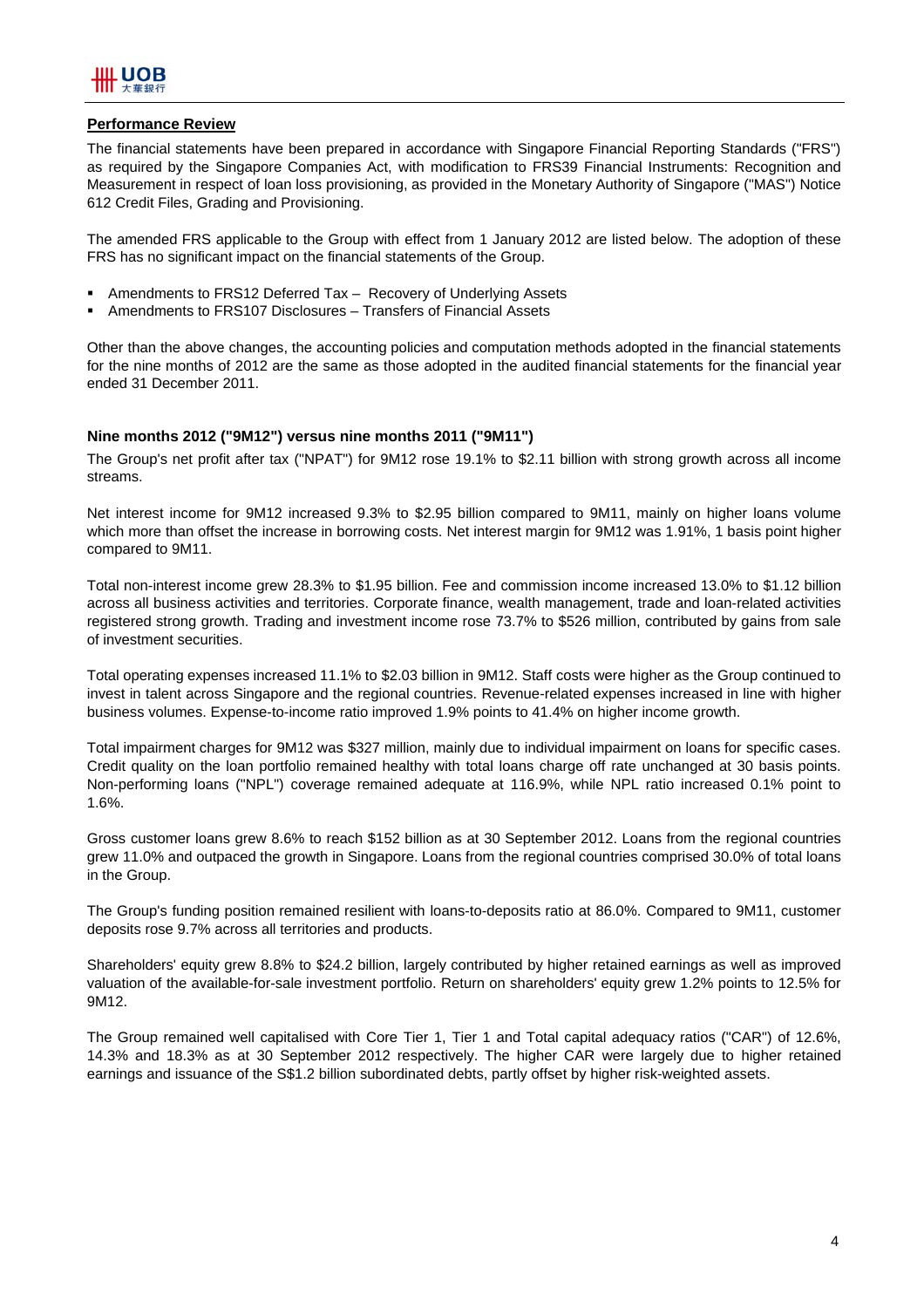

#### **Performance Review**

The financial statements have been prepared in accordance with Singapore Financial Reporting Standards ("FRS") as required by the Singapore Companies Act, with modification to FRS39 Financial Instruments: Recognition and Measurement in respect of loan loss provisioning, as provided in the Monetary Authority of Singapore ("MAS") Notice 612 Credit Files, Grading and Provisioning.

The amended FRS applicable to the Group with effect from 1 January 2012 are listed below. The adoption of these FRS has no significant impact on the financial statements of the Group.

- Amendments to FRS12 Deferred Tax Recovery of Underlying Assets
- Amendments to FRS107 Disclosures Transfers of Financial Assets

Other than the above changes, the accounting policies and computation methods adopted in the financial statements for the nine months of 2012 are the same as those adopted in the audited financial statements for the financial year ended 31 December 2011.

#### **Nine months 2012 ("9M12") versus nine months 2011 ("9M11")**

The Group's net profit after tax ("NPAT") for 9M12 rose 19.1% to \$2.11 billion with strong growth across all income streams.

Net interest income for 9M12 increased 9.3% to \$2.95 billion compared to 9M11, mainly on higher loans volume which more than offset the increase in borrowing costs. Net interest margin for 9M12 was 1.91%, 1 basis point higher compared to 9M11.

Total non-interest income grew 28.3% to \$1.95 billion. Fee and commission income increased 13.0% to \$1.12 billion across all business activities and territories. Corporate finance, wealth management, trade and loan-related activities registered strong growth. Trading and investment income rose 73.7% to \$526 million, contributed by gains from sale of investment securities.

Total operating expenses increased 11.1% to \$2.03 billion in 9M12. Staff costs were higher as the Group continued to invest in talent across Singapore and the regional countries. Revenue-related expenses increased in line with higher business volumes. Expense-to-income ratio improved 1.9% points to 41.4% on higher income growth.

Total impairment charges for 9M12 was \$327 million, mainly due to individual impairment on loans for specific cases. Credit quality on the loan portfolio remained healthy with total loans charge off rate unchanged at 30 basis points. Non-performing loans ("NPL") coverage remained adequate at 116.9%, while NPL ratio increased 0.1% point to 1.6%.

Gross customer loans grew 8.6% to reach \$152 billion as at 30 September 2012. Loans from the regional countries grew 11.0% and outpaced the growth in Singapore. Loans from the regional countries comprised 30.0% of total loans in the Group.

The Group's funding position remained resilient with loans-to-deposits ratio at 86.0%. Compared to 9M11, customer deposits rose 9.7% across all territories and products.

Shareholders' equity grew 8.8% to \$24.2 billion, largely contributed by higher retained earnings as well as improved valuation of the available-for-sale investment portfolio. Return on shareholders' equity grew 1.2% points to 12.5% for 9M12.

The Group remained well capitalised with Core Tier 1, Tier 1 and Total capital adequacy ratios ("CAR") of 12.6%, 14.3% and 18.3% as at 30 September 2012 respectively. The higher CAR were largely due to higher retained earnings and issuance of the S\$1.2 billion subordinated debts, partly offset by higher risk-weighted assets.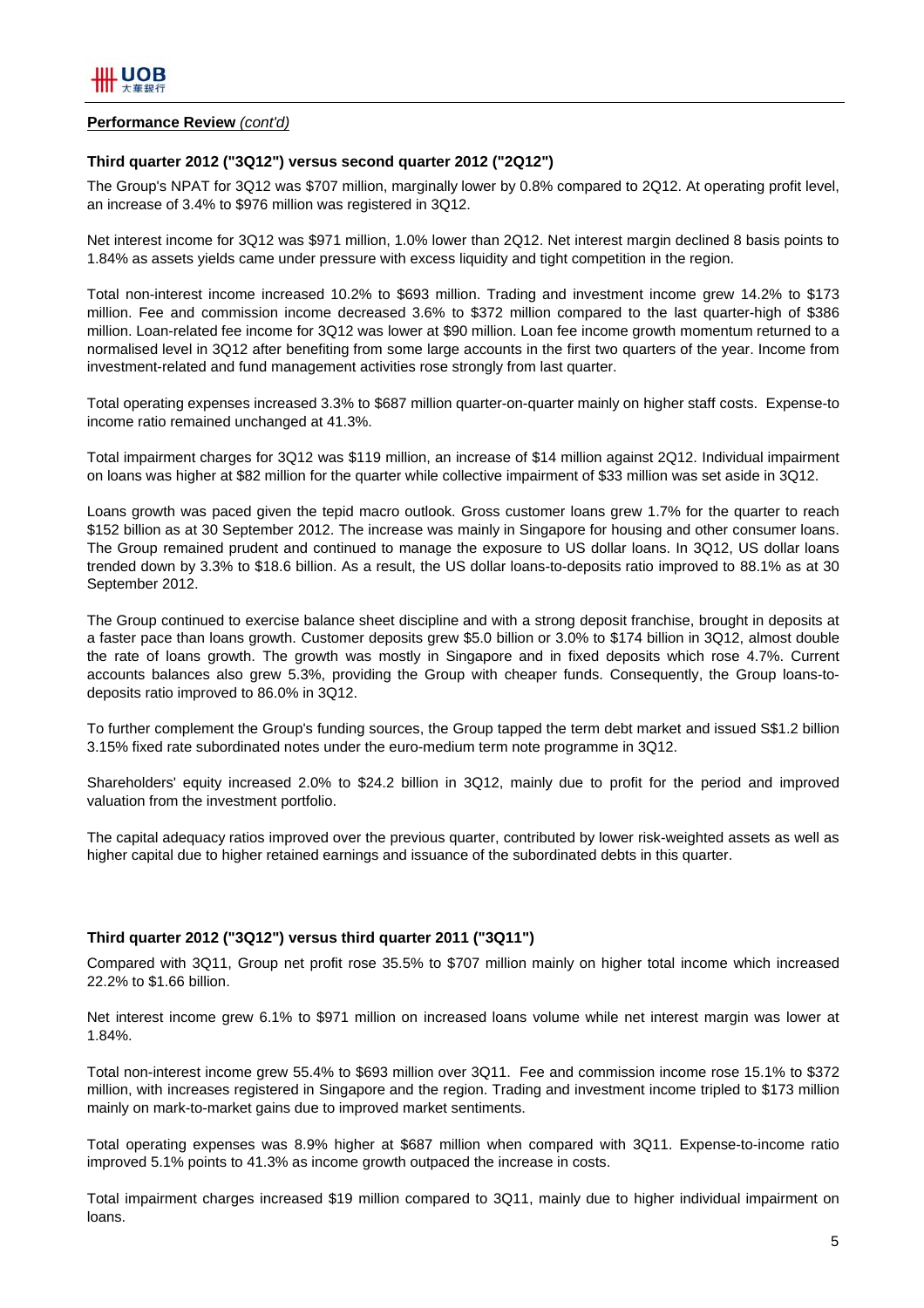#### **Performance Review** *(cont'd)*

#### **Third quarter 2012 ("3Q12") versus second quarter 2012 ("2Q12")**

The Group's NPAT for 3Q12 was \$707 million, marginally lower by 0.8% compared to 2Q12. At operating profit level, an increase of 3.4% to \$976 million was registered in 3Q12.

Net interest income for 3Q12 was \$971 million, 1.0% lower than 2Q12. Net interest margin declined 8 basis points to 1.84% as assets yields came under pressure with excess liquidity and tight competition in the region.

Total non-interest income increased 10.2% to \$693 million. Trading and investment income grew 14.2% to \$173 million. Fee and commission income decreased 3.6% to \$372 million compared to the last quarter-high of \$386 million. Loan-related fee income for 3Q12 was lower at \$90 million. Loan fee income growth momentum returned to a normalised level in 3Q12 after benefiting from some large accounts in the first two quarters of the year. Income from investment-related and fund management activities rose strongly from last quarter.

Total operating expenses increased 3.3% to \$687 million quarter-on-quarter mainly on higher staff costs. Expense-to income ratio remained unchanged at 41.3%.

Total impairment charges for 3Q12 was \$119 million, an increase of \$14 million against 2Q12. Individual impairment on loans was higher at \$82 million for the quarter while collective impairment of \$33 million was set aside in 3Q12.

Loans growth was paced given the tepid macro outlook. Gross customer loans grew 1.7% for the quarter to reach \$152 billion as at 30 September 2012. The increase was mainly in Singapore for housing and other consumer loans. The Group remained prudent and continued to manage the exposure to US dollar loans. In 3Q12, US dollar loans trended down by 3.3% to \$18.6 billion. As a result, the US dollar loans-to-deposits ratio improved to 88.1% as at 30 September 2012.

The Group continued to exercise balance sheet discipline and with a strong deposit franchise, brought in deposits at a faster pace than loans growth. Customer deposits grew \$5.0 billion or 3.0% to \$174 billion in 3Q12, almost double the rate of loans growth. The growth was mostly in Singapore and in fixed deposits which rose 4.7%. Current accounts balances also grew 5.3%, providing the Group with cheaper funds. Consequently, the Group loans-todeposits ratio improved to 86.0% in 3Q12.

To further complement the Group's funding sources, the Group tapped the term debt market and issued S\$1.2 billion 3.15% fixed rate subordinated notes under the euro-medium term note programme in 3Q12.

Shareholders' equity increased 2.0% to \$24.2 billion in 3Q12, mainly due to profit for the period and improved valuation from the investment portfolio.

The capital adequacy ratios improved over the previous quarter, contributed by lower risk-weighted assets as well as higher capital due to higher retained earnings and issuance of the subordinated debts in this quarter.

#### **Third quarter 2012 ("3Q12") versus third quarter 2011 ("3Q11")**

Compared with 3Q11, Group net profit rose 35.5% to \$707 million mainly on higher total income which increased 22.2% to \$1.66 billion.

Net interest income grew 6.1% to \$971 million on increased loans volume while net interest margin was lower at 1.84%.

Total non-interest income grew 55.4% to \$693 million over 3Q11. Fee and commission income rose 15.1% to \$372 million, with increases registered in Singapore and the region. Trading and investment income tripled to \$173 million mainly on mark-to-market gains due to improved market sentiments.

Total operating expenses was 8.9% higher at \$687 million when compared with 3Q11. Expense-to-income ratio improved 5.1% points to 41.3% as income growth outpaced the increase in costs.

Total impairment charges increased \$19 million compared to 3Q11, mainly due to higher individual impairment on loans.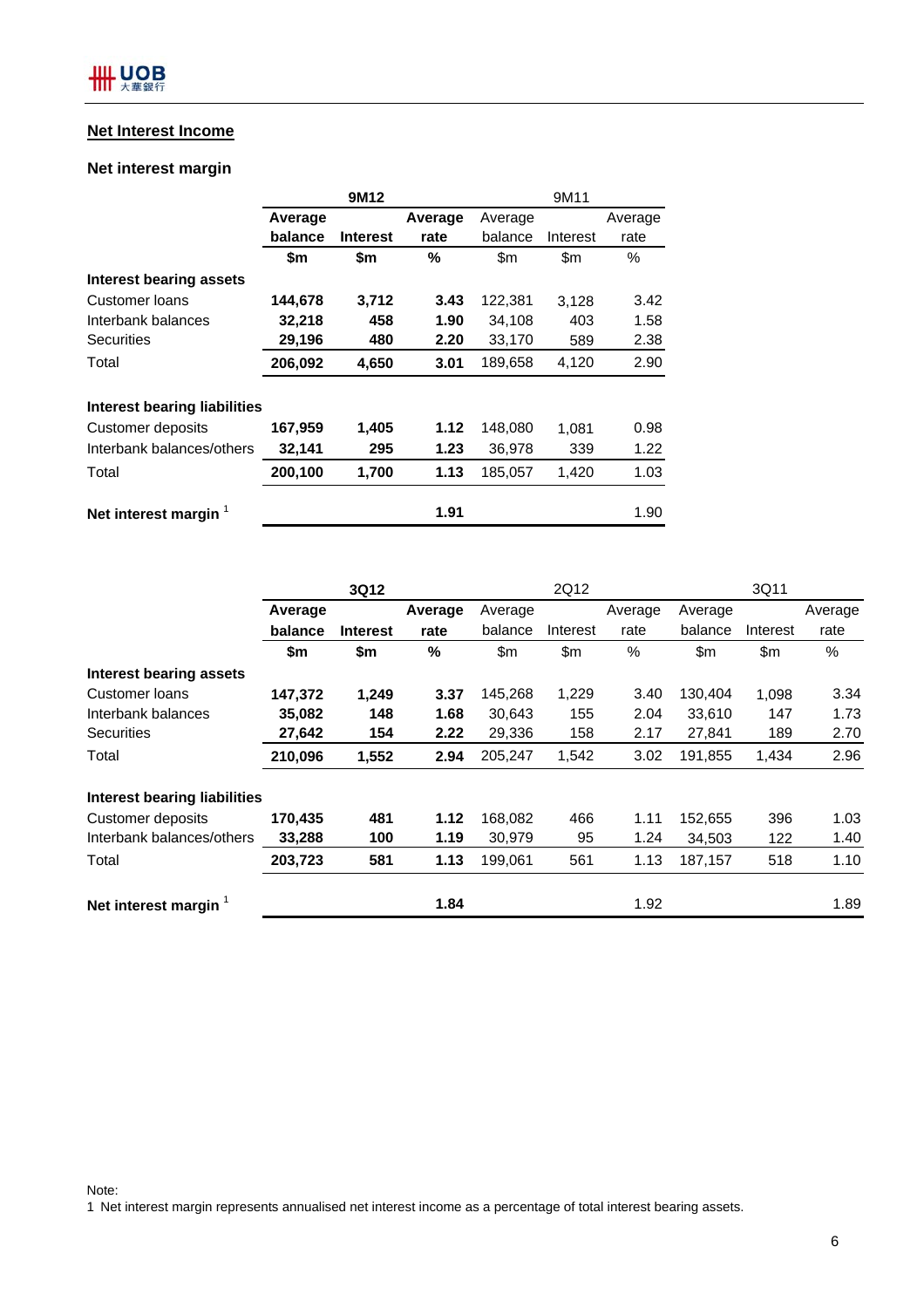#### **Net Interest Income**

### **Net interest margin**

|                              |         | 9M12            |         | 9M11    |          |         |  |
|------------------------------|---------|-----------------|---------|---------|----------|---------|--|
|                              | Average |                 | Average | Average |          | Average |  |
|                              | balance | <b>Interest</b> | rate    | balance | Interest | rate    |  |
|                              | \$m     | \$m             | %       | \$m     | \$m      | $\%$    |  |
| Interest bearing assets      |         |                 |         |         |          |         |  |
| Customer Ioans               | 144,678 | 3,712           | 3.43    | 122,381 | 3,128    | 3.42    |  |
| Interbank balances           | 32,218  | 458             | 1.90    | 34,108  | 403      | 1.58    |  |
| <b>Securities</b>            | 29,196  | 480             | 2.20    | 33,170  | 589      | 2.38    |  |
| Total                        | 206,092 | 4,650           | 3.01    | 189,658 | 4,120    | 2.90    |  |
| Interest bearing liabilities |         |                 |         |         |          |         |  |
| Customer deposits            | 167,959 | 1,405           | 1.12    | 148,080 | 1.081    | 0.98    |  |
| Interbank balances/others    | 32,141  | 295             | 1.23    | 36,978  | 339      | 1.22    |  |
| Total                        | 200,100 | 1,700           | 1.13    | 185,057 | 1,420    | 1.03    |  |
| Net interest margin $1$      |         |                 | 1.91    |         |          | 1.90    |  |

|                                     | 3Q12    |                 |         | 2Q12    |          |         | 3Q11    |          |         |
|-------------------------------------|---------|-----------------|---------|---------|----------|---------|---------|----------|---------|
|                                     | Average |                 | Average | Average |          | Average | Average |          | Average |
|                                     | balance | <b>Interest</b> | rate    | balance | Interest | rate    | balance | Interest | rate    |
|                                     | \$m     | \$m             | $\%$    | \$m     | \$m      | %       | \$m     | \$m\$    | $\%$    |
| Interest bearing assets             |         |                 |         |         |          |         |         |          |         |
| Customer Ioans                      | 147,372 | 1,249           | 3.37    | 145,268 | 1,229    | 3.40    | 130,404 | 1,098    | 3.34    |
| Interbank balances                  | 35,082  | 148             | 1.68    | 30,643  | 155      | 2.04    | 33,610  | 147      | 1.73    |
| <b>Securities</b>                   | 27,642  | 154             | 2.22    | 29,336  | 158      | 2.17    | 27,841  | 189      | 2.70    |
| Total                               | 210,096 | 1,552           | 2.94    | 205,247 | 1,542    | 3.02    | 191,855 | 1,434    | 2.96    |
| <b>Interest bearing liabilities</b> |         |                 |         |         |          |         |         |          |         |
| <b>Customer deposits</b>            | 170,435 | 481             | 1.12    | 168,082 | 466      | 1.11    | 152,655 | 396      | 1.03    |
| Interbank balances/others           | 33,288  | 100             | 1.19    | 30,979  | 95       | 1.24    | 34,503  | 122      | 1.40    |
| Total                               | 203,723 | 581             | 1.13    | 199,061 | 561      | 1.13    | 187,157 | 518      | 1.10    |
| Net interest margin $1$             |         |                 | 1.84    |         |          | 1.92    |         |          | 1.89    |

Note:

1 Net interest margin represents annualised net interest income as a percentage of total interest bearing assets.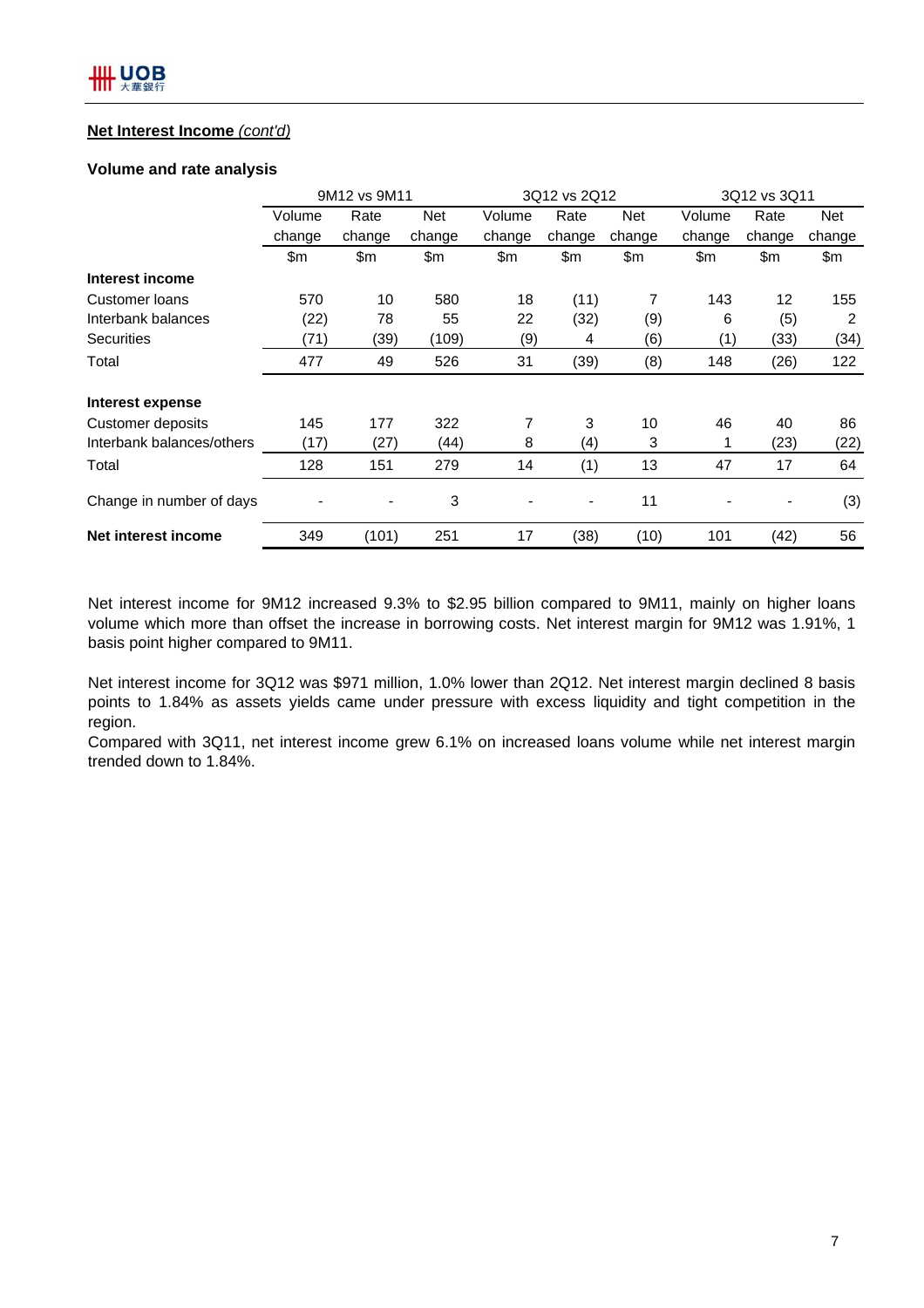#### **Net Interest Income** *(cont'd)*

#### **Volume and rate analysis**

|                           | 9M12 vs 9M11 |        |        | 3Q12 vs 2Q12   |                          |            | 3Q12 vs 3Q11 |        |            |
|---------------------------|--------------|--------|--------|----------------|--------------------------|------------|--------------|--------|------------|
|                           | Volume       | Rate   | Net    | Volume         | Rate                     | <b>Net</b> | Volume       | Rate   | <b>Net</b> |
|                           | change       | change | change | change         | change                   | change     | change       | change | change     |
|                           | \$m          | \$m    | \$m    | \$m            | \$m                      | \$m\$      | \$m          | \$m    | \$m        |
| Interest income           |              |        |        |                |                          |            |              |        |            |
| Customer Ioans            | 570          | 10     | 580    | 18             | (11)                     | 7          | 143          | 12     | 155        |
| Interbank balances        | (22)         | 78     | 55     | 22             | (32)                     | (9)        | 6            | (5)    | 2          |
| <b>Securities</b>         | (71)         | (39)   | (109)  | (9)            | 4                        | (6)        | (1)          | (33)   | (34)       |
| Total                     | 477          | 49     | 526    | 31             | (39)                     | (8)        | 148          | (26)   | 122        |
| Interest expense          |              |        |        |                |                          |            |              |        |            |
| Customer deposits         | 145          | 177    | 322    | $\overline{7}$ | 3                        | 10         | 46           | 40     | 86         |
| Interbank balances/others | (17)         | (27)   | (44)   | 8              | (4)                      | 3          | 1            | (23)   | (22)       |
| Total                     | 128          | 151    | 279    | 14             | (1)                      | 13         | 47           | 17     | 64         |
| Change in number of days  |              |        | 3      |                | $\overline{\phantom{a}}$ | 11         |              |        | (3)        |
| Net interest income       | 349          | (101)  | 251    | 17             | (38)                     | (10)       | 101          | (42)   | 56         |

Net interest income for 9M12 increased 9.3% to \$2.95 billion compared to 9M11, mainly on higher loans volume which more than offset the increase in borrowing costs. Net interest margin for 9M12 was 1.91%, 1 basis point higher compared to 9M11.

Net interest income for 3Q12 was \$971 million, 1.0% lower than 2Q12. Net interest margin declined 8 basis points to 1.84% as assets yields came under pressure with excess liquidity and tight competition in the region.

Compared with 3Q11, net interest income grew 6.1% on increased loans volume while net interest margin trended down to 1.84%.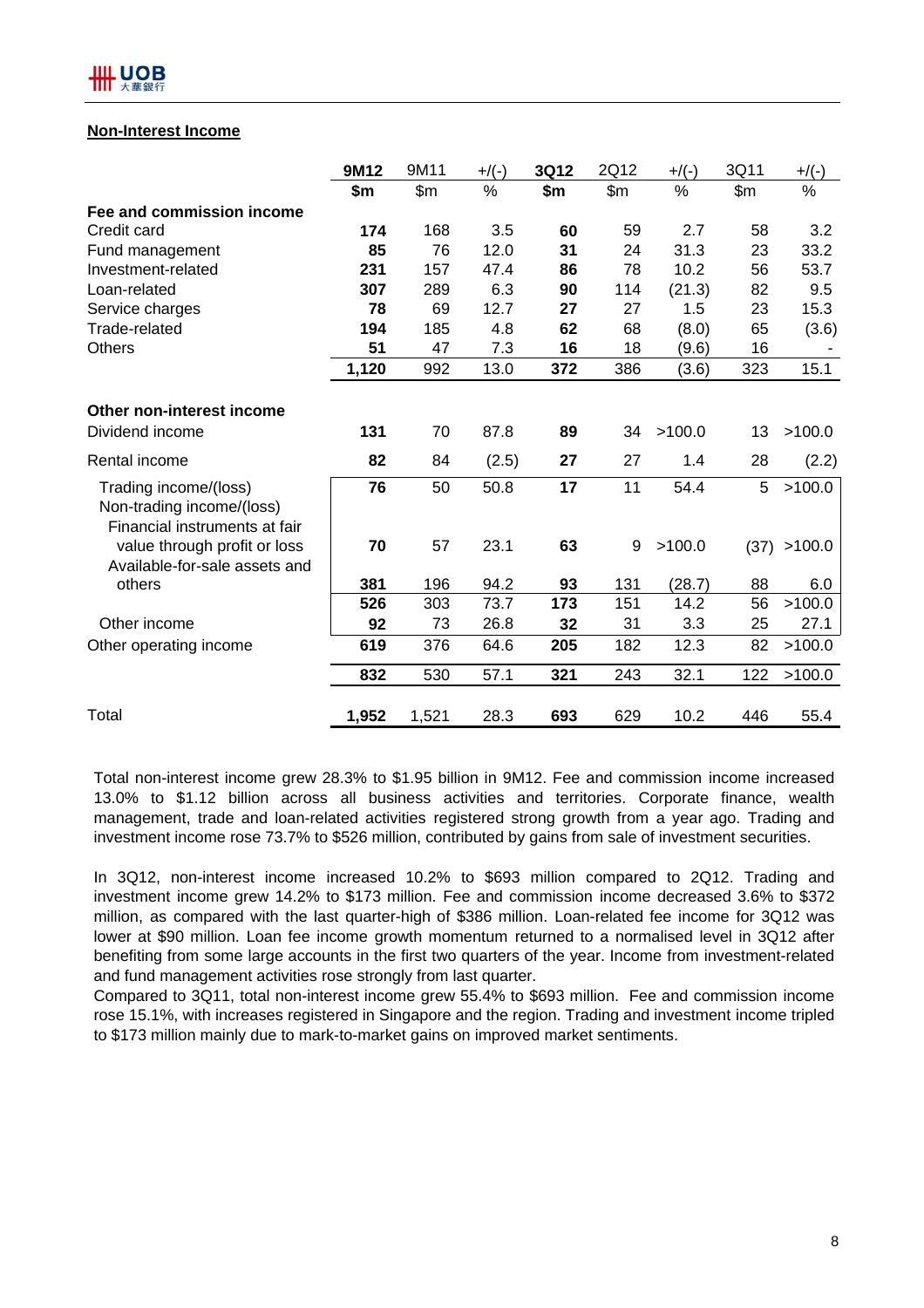#### **Non-Interest Income**

|                                                                                     | 9M12  | 9M11  | $+$ /(-) | 3Q12 | 2Q12  | $+$ /(-) | 3Q11  | $+$ /(-) |
|-------------------------------------------------------------------------------------|-------|-------|----------|------|-------|----------|-------|----------|
|                                                                                     | \$m   | \$m\$ | %        | \$m  | \$m\$ | $\%$     | \$m\$ | %        |
| Fee and commission income                                                           |       |       |          |      |       |          |       |          |
| Credit card                                                                         | 174   | 168   | 3.5      | 60   | 59    | 2.7      | 58    | 3.2      |
| Fund management                                                                     | 85    | 76    | 12.0     | 31   | 24    | 31.3     | 23    | 33.2     |
| Investment-related                                                                  | 231   | 157   | 47.4     | 86   | 78    | 10.2     | 56    | 53.7     |
| Loan-related                                                                        | 307   | 289   | 6.3      | 90   | 114   | (21.3)   | 82    | 9.5      |
| Service charges                                                                     | 78    | 69    | 12.7     | 27   | 27    | 1.5      | 23    | 15.3     |
| Trade-related                                                                       | 194   | 185   | 4.8      | 62   | 68    | (8.0)    | 65    | (3.6)    |
| <b>Others</b>                                                                       | 51    | 47    | 7.3      | 16   | 18    | (9.6)    | 16    |          |
|                                                                                     | 1,120 | 992   | 13.0     | 372  | 386   | (3.6)    | 323   | 15.1     |
| Other non-interest income<br>Dividend income                                        | 131   | 70    | 87.8     | 89   | 34    | >100.0   | 13    | >100.0   |
| Rental income                                                                       | 82    | 84    | (2.5)    | 27   | 27    | 1.4      | 28    | (2.2)    |
| Trading income/(loss)<br>Non-trading income/(loss)<br>Financial instruments at fair | 76    | 50    | 50.8     | 17   | 11    | 54.4     | 5     | >100.0   |
| value through profit or loss<br>Available-for-sale assets and                       | 70    | 57    | 23.1     | 63   | 9     | >100.0   | (37)  | >100.0   |
| others                                                                              | 381   | 196   | 94.2     | 93   | 131   | (28.7)   | 88    | 6.0      |
|                                                                                     | 526   | 303   | 73.7     | 173  | 151   | 14.2     | 56    | >100.0   |
| Other income                                                                        | 92    | 73    | 26.8     | 32   | 31    | 3.3      | 25    | 27.1     |
| Other operating income                                                              | 619   | 376   | 64.6     | 205  | 182   | 12.3     | 82    | >100.0   |
|                                                                                     | 832   | 530   | 57.1     | 321  | 243   | 32.1     | 122   | >100.0   |
| Total                                                                               | 1,952 | 1,521 | 28.3     | 693  | 629   | 10.2     | 446   | 55.4     |

Total non-interest income grew 28.3% to \$1.95 billion in 9M12. Fee and commission income increased 13.0% to \$1.12 billion across all business activities and territories. Corporate finance, wealth management, trade and loan-related activities registered strong growth from a year ago. Trading and investment income rose 73.7% to \$526 million, contributed by gains from sale of investment securities.

In 3Q12, non-interest income increased 10.2% to \$693 million compared to 2Q12. Trading and investment income grew 14.2% to \$173 million. Fee and commission income decreased 3.6% to \$372 million, as compared with the last quarter-high of \$386 million. Loan-related fee income for 3Q12 was lower at \$90 million. Loan fee income growth momentum returned to a normalised level in 3Q12 after benefiting from some large accounts in the first two quarters of the year. Income from investment-related and fund management activities rose strongly from last quarter.

Compared to 3Q11, total non-interest income grew 55.4% to \$693 million. Fee and commission income rose 15.1%, with increases registered in Singapore and the region. Trading and investment income tripled to \$173 million mainly due to mark-to-market gains on improved market sentiments.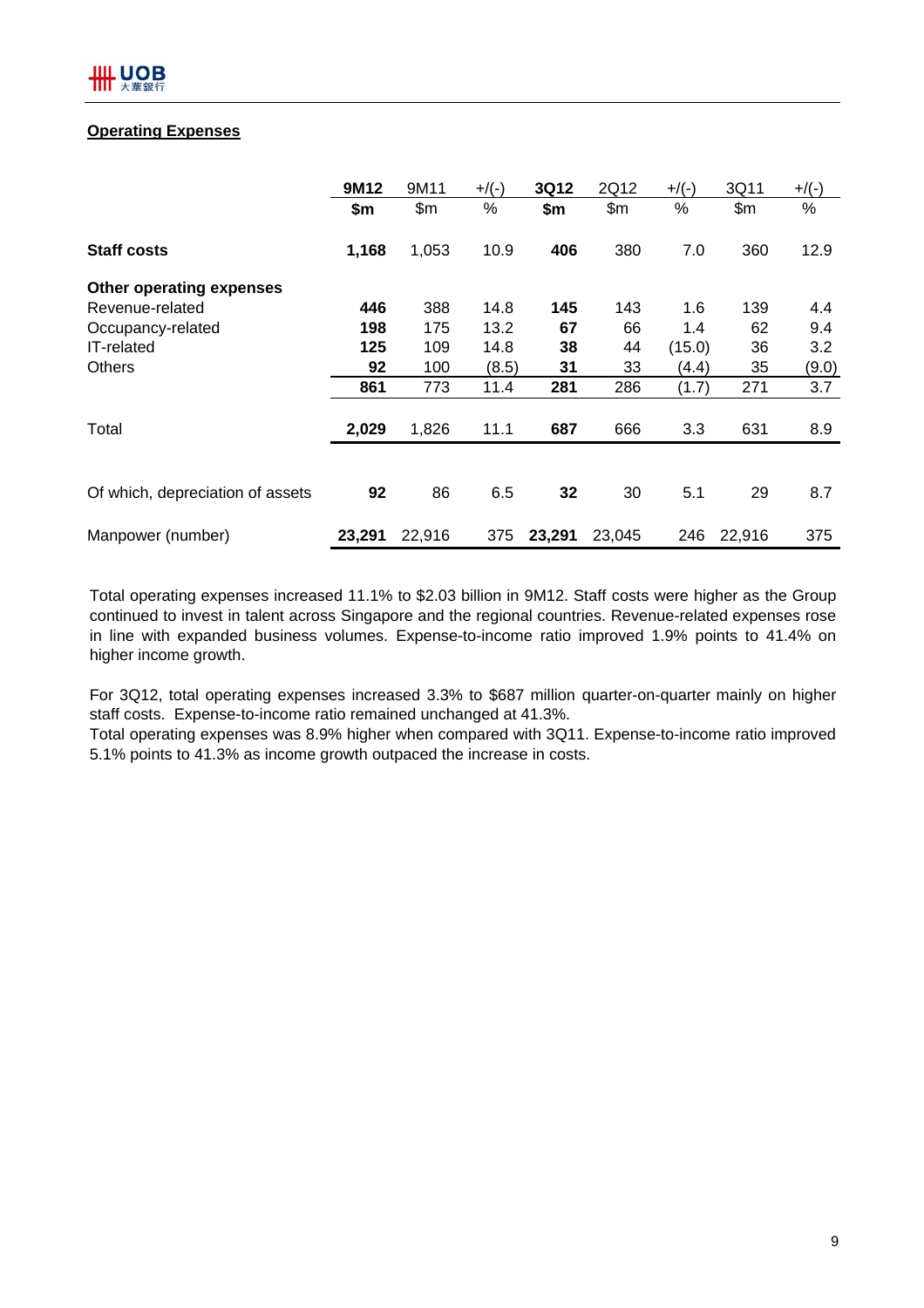#### **Operating Expenses**

|                                  | 9M12   | 9M11   | $+$ /(-) | 3Q12   | 2Q12   | $+$ /(-) | 3Q11   | $+$ /(-) |
|----------------------------------|--------|--------|----------|--------|--------|----------|--------|----------|
|                                  | \$m    | \$m\$  | %        | \$m    | \$m\$  | %        | \$m    | %        |
| <b>Staff costs</b>               | 1,168  | 1,053  | 10.9     | 406    | 380    | 7.0      | 360    | 12.9     |
| <b>Other operating expenses</b>  |        |        |          |        |        |          |        |          |
| Revenue-related                  | 446    | 388    | 14.8     | 145    | 143    | 1.6      | 139    | 4.4      |
| Occupancy-related                | 198    | 175    | 13.2     | 67     | 66     | 1.4      | 62     | 9.4      |
| IT-related                       | 125    | 109    | 14.8     | 38     | 44     | (15.0)   | 36     | 3.2      |
| <b>Others</b>                    | 92     | 100    | (8.5)    | 31     | 33     | (4.4)    | 35     | (9.0)    |
|                                  | 861    | 773    | 11.4     | 281    | 286    | (1.7)    | 271    | 3.7      |
| Total                            | 2,029  | 1,826  | 11.1     | 687    | 666    | 3.3      | 631    | 8.9      |
|                                  |        |        |          |        |        |          |        |          |
| Of which, depreciation of assets | 92     | 86     | 6.5      | 32     | 30     | 5.1      | 29     | 8.7      |
| Manpower (number)                | 23,291 | 22,916 | 375      | 23,291 | 23,045 | 246      | 22,916 | 375      |

Total operating expenses increased 11.1% to \$2.03 billion in 9M12. Staff costs were higher as the Group continued to invest in talent across Singapore and the regional countries. Revenue-related expenses rose in line with expanded business volumes. Expense-to-income ratio improved 1.9% points to 41.4% on higher income growth.

For 3Q12, total operating expenses increased 3.3% to \$687 million quarter-on-quarter mainly on higher staff costs. Expense-to-income ratio remained unchanged at 41.3%.

Total operating expenses was 8.9% higher when compared with 3Q11. Expense-to-income ratio improved 5.1% points to 41.3% as income growth outpaced the increase in costs.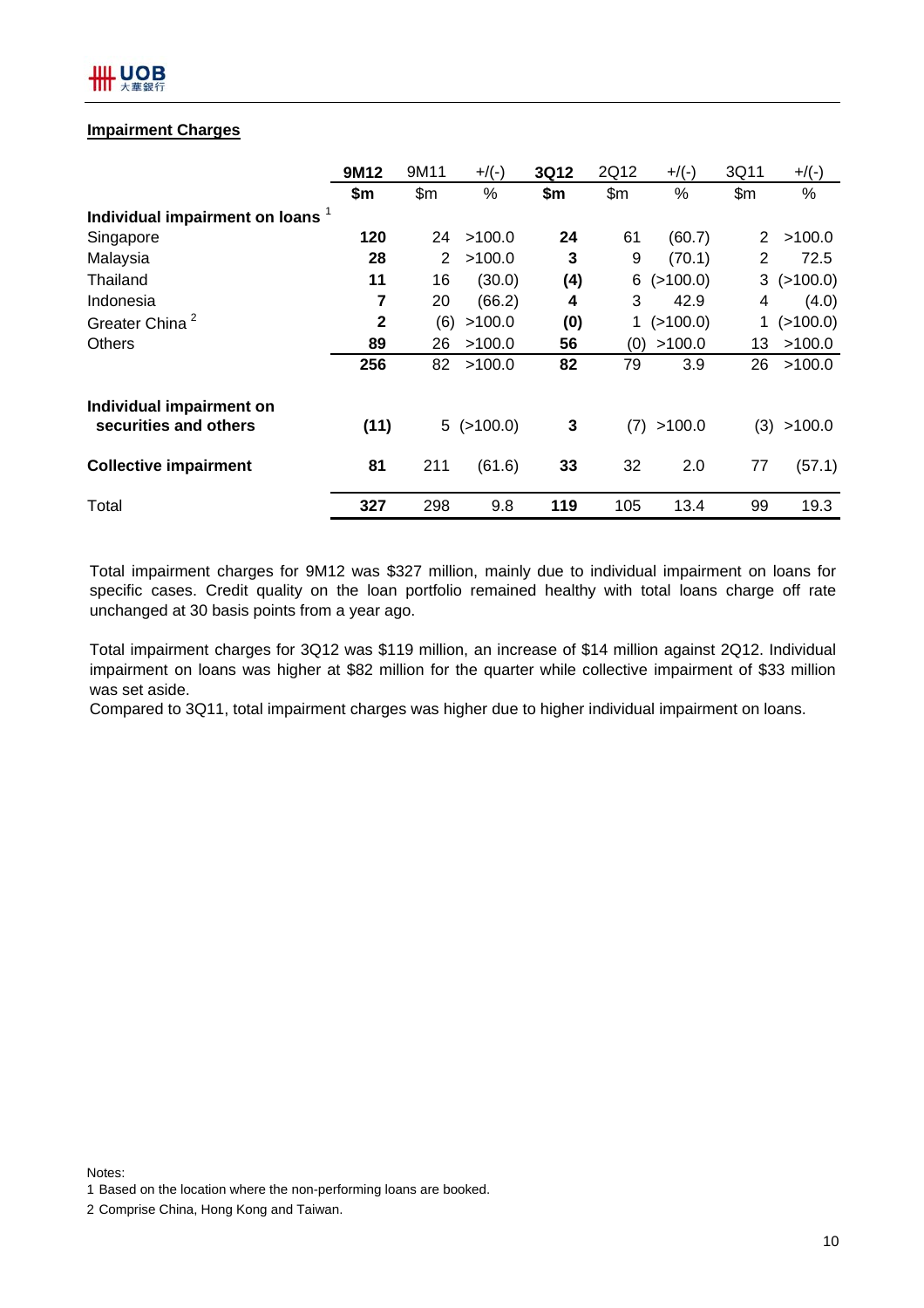## Щ UOB

#### **Impairment Charges**

|                                | 9M12         | 9M11  | $+$ /(-)         | 3Q12  | 2Q12 | $+$ /(-) | 3Q11         | $+$ /(-) |
|--------------------------------|--------------|-------|------------------|-------|------|----------|--------------|----------|
|                                | \$m          | \$m\$ | %                | \$m\$ | \$m  | %        | \$m\$        | %        |
| Individual impairment on loans |              |       |                  |       |      |          |              |          |
| Singapore                      | 120          | 24    | >100.0           | 24    | 61   | (60.7)   | $\mathbf{2}$ | >100.0   |
| Malaysia                       | 28           | 2     | >100.0           | 3     | 9    | (70.1)   | $\mathbf{2}$ | 72.5     |
| Thailand                       | 11           | 16    | (30.0)           | (4)   | 6    | (>100.0) | 3            | (>100.0) |
| Indonesia                      | 7            | 20    | (66.2)           | 4     | 3    | 42.9     | 4            | (4.0)    |
| Greater China <sup>2</sup>     | $\mathbf{2}$ | (6)   | >100.0           | (0)   | 1    | (>100.0) |              | (>100.0) |
| <b>Others</b>                  | 89           | 26    | >100.0           | 56    | (0)  | >100.0   | 13           | >100.0   |
|                                | 256          | 82    | >100.0           | 82    | 79   | 3.9      | 26           | >100.0   |
| Individual impairment on       |              |       |                  |       |      |          |              |          |
| securities and others          | (11)         |       | $5$ ( $>100.0$ ) | 3     | (7)  | >100.0   | (3)          | >100.0   |
| <b>Collective impairment</b>   | 81           | 211   | (61.6)           | 33    | 32   | 2.0      | 77           | (57.1)   |
| Total                          | 327          | 298   | 9.8              | 119   | 105  | 13.4     | 99           | 19.3     |

Total impairment charges for 9M12 was \$327 million, mainly due to individual impairment on loans for specific cases. Credit quality on the loan portfolio remained healthy with total loans charge off rate unchanged at 30 basis points from a year ago.

Total impairment charges for 3Q12 was \$119 million, an increase of \$14 million against 2Q12. Individual impairment on loans was higher at \$82 million for the quarter while collective impairment of \$33 million was set aside.

Compared to 3Q11, total impairment charges was higher due to higher individual impairment on loans.

Notes: 1 Based on the location where the non-performing loans are booked.

<sup>2</sup> Comprise China, Hong Kong and Taiwan.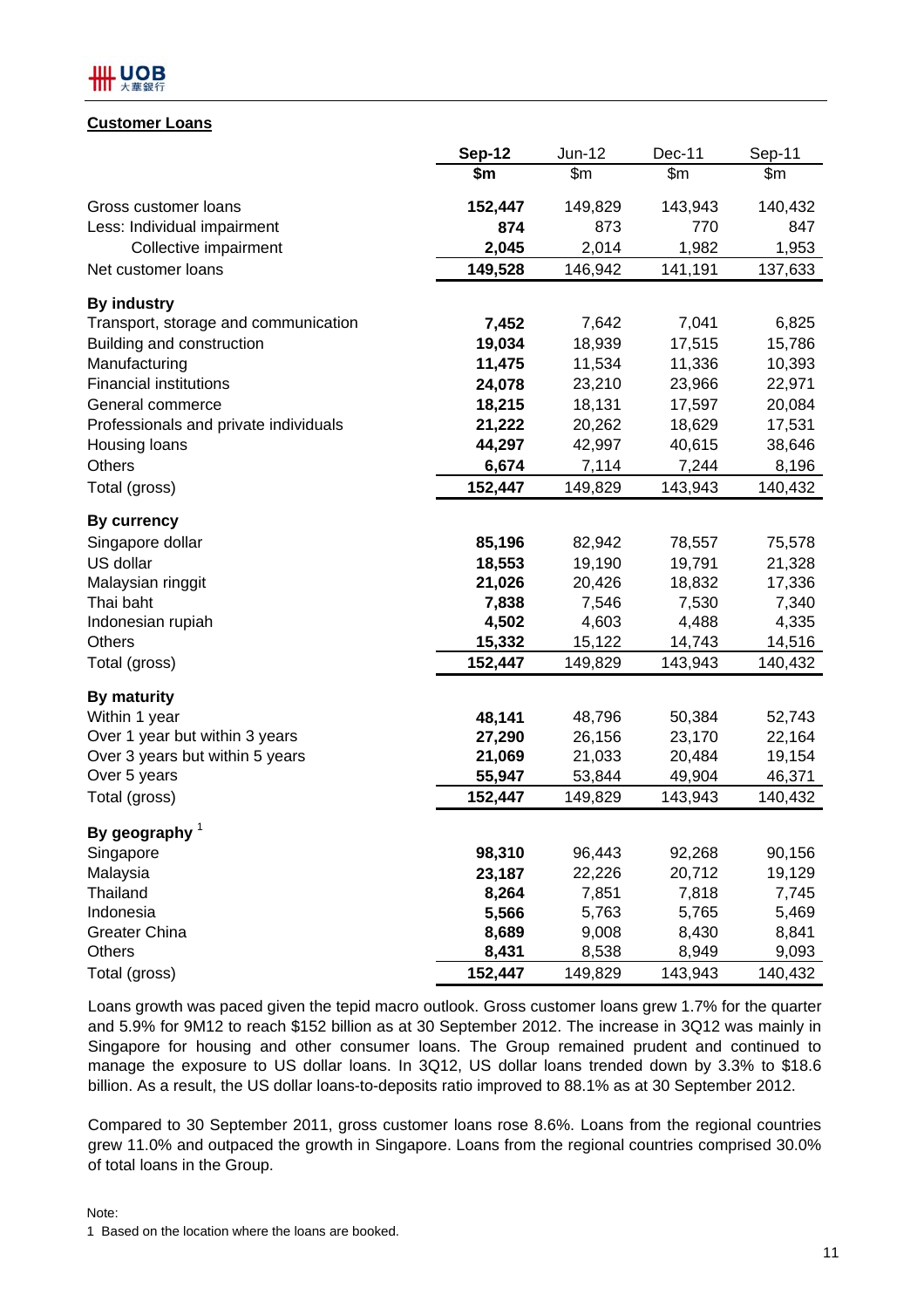

#### **Customer Loans**

|                                       | <b>Sep-12</b> | Jun-12  | Dec-11  | Sep-11  |
|---------------------------------------|---------------|---------|---------|---------|
|                                       | \$m           | \$m     | \$m\$   | \$m\$   |
| Gross customer loans                  | 152,447       | 149,829 | 143,943 | 140,432 |
| Less: Individual impairment           | 874           | 873     | 770     | 847     |
| Collective impairment                 | 2,045         | 2,014   | 1,982   | 1,953   |
| Net customer loans                    | 149,528       | 146,942 | 141,191 | 137,633 |
| <b>By industry</b>                    |               |         |         |         |
| Transport, storage and communication  | 7,452         | 7,642   | 7,041   | 6,825   |
| Building and construction             | 19,034        | 18,939  | 17,515  | 15,786  |
| Manufacturing                         | 11,475        | 11,534  | 11,336  | 10,393  |
| <b>Financial institutions</b>         | 24,078        | 23,210  | 23,966  | 22,971  |
| General commerce                      | 18,215        | 18,131  | 17,597  | 20,084  |
| Professionals and private individuals | 21,222        | 20,262  | 18,629  | 17,531  |
| Housing loans                         | 44,297        | 42,997  | 40,615  | 38,646  |
| Others                                | 6,674         | 7,114   | 7,244   | 8,196   |
| Total (gross)                         | 152,447       | 149,829 | 143,943 | 140,432 |
| <b>By currency</b>                    |               |         |         |         |
| Singapore dollar                      | 85,196        | 82,942  | 78,557  | 75,578  |
| US dollar                             | 18,553        | 19,190  | 19,791  | 21,328  |
| Malaysian ringgit                     | 21,026        | 20,426  | 18,832  | 17,336  |
| Thai baht                             | 7,838         | 7,546   | 7,530   | 7,340   |
| Indonesian rupiah                     | 4,502         | 4,603   | 4,488   | 4,335   |
| <b>Others</b>                         | 15,332        | 15,122  | 14,743  | 14,516  |
| Total (gross)                         | 152,447       | 149,829 | 143,943 | 140,432 |
| <b>By maturity</b>                    |               |         |         |         |
| Within 1 year                         | 48,141        | 48,796  | 50,384  | 52,743  |
| Over 1 year but within 3 years        | 27,290        | 26,156  | 23,170  | 22,164  |
| Over 3 years but within 5 years       | 21,069        | 21,033  | 20,484  | 19,154  |
| Over 5 years                          | 55,947        | 53,844  | 49,904  | 46,371  |
| Total (gross)                         | 152,447       | 149,829 | 143,943 | 140,432 |
| By geography $1$                      |               |         |         |         |
| Singapore                             | 98,310        | 96,443  | 92,268  | 90,156  |
| Malaysia                              | 23,187        | 22,226  | 20,712  | 19,129  |
| Thailand                              | 8,264         | 7,851   | 7,818   | 7,745   |
| Indonesia                             | 5,566         | 5,763   | 5,765   | 5,469   |
| <b>Greater China</b>                  | 8,689         | 9,008   | 8,430   | 8,841   |
| Others                                | 8,431         | 8,538   | 8,949   | 9,093   |
| Total (gross)                         | 152,447       | 149,829 | 143,943 | 140,432 |

Loans growth was paced given the tepid macro outlook. Gross customer loans grew 1.7% for the quarter and 5.9% for 9M12 to reach \$152 billion as at 30 September 2012. The increase in 3Q12 was mainly in Singapore for housing and other consumer loans. The Group remained prudent and continued to manage the exposure to US dollar loans. In 3Q12, US dollar loans trended down by 3.3% to \$18.6 billion. As a result, the US dollar loans-to-deposits ratio improved to 88.1% as at 30 September 2012.

Compared to 30 September 2011, gross customer loans rose 8.6%. Loans from the regional countries grew 11.0% and outpaced the growth in Singapore. Loans from the regional countries comprised 30.0% of total loans in the Group.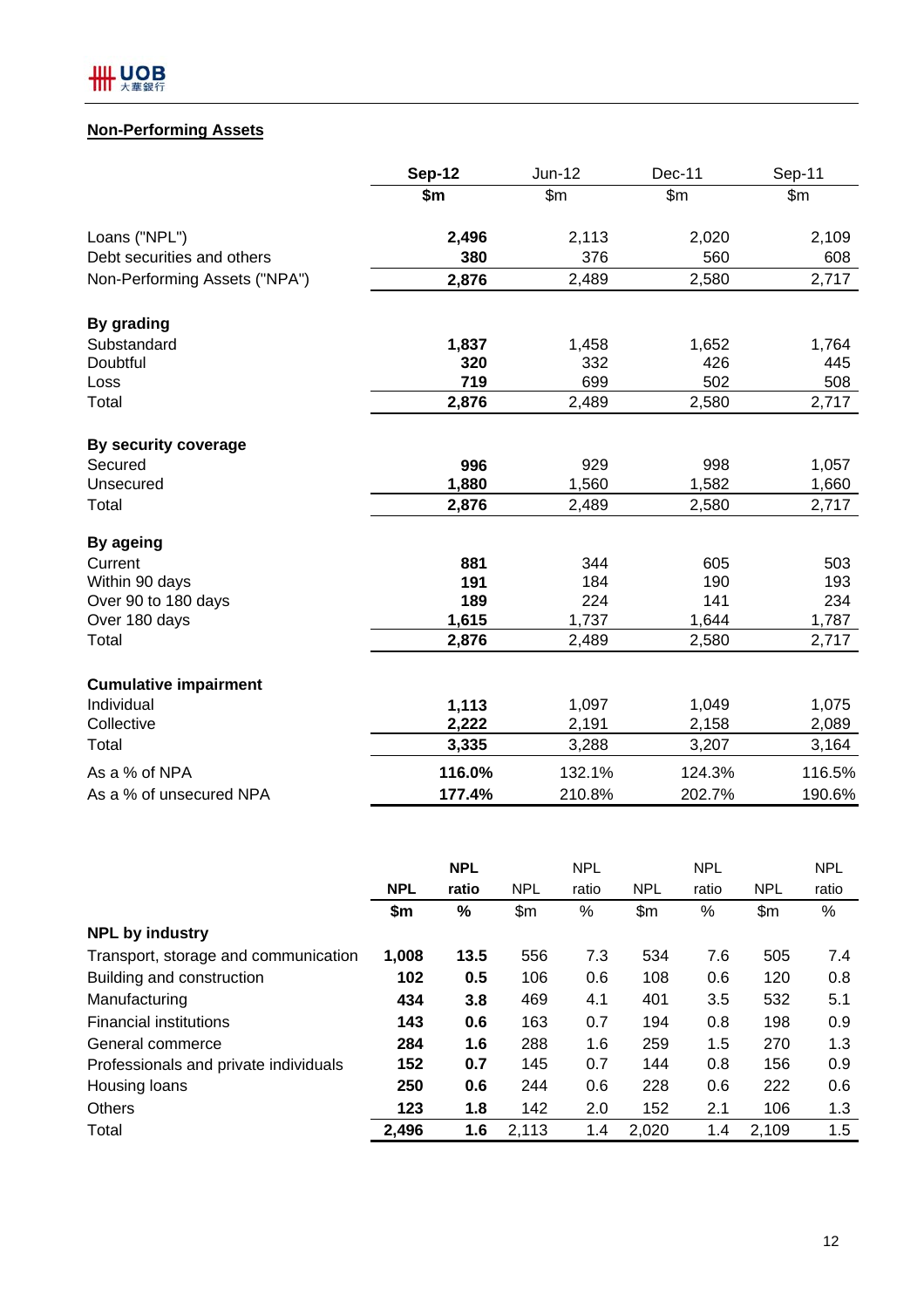

## **Non-Performing Assets**

|                               | <b>Sep-12</b> | Jun-12 | <b>Dec-11</b> | Sep-11 |
|-------------------------------|---------------|--------|---------------|--------|
|                               | \$m           | \$m\$  | \$m\$         | \$m\$  |
| Loans ("NPL")                 | 2,496         | 2,113  | 2,020         | 2,109  |
| Debt securities and others    | 380           | 376    | 560           | 608    |
| Non-Performing Assets ("NPA") | 2,876         | 2,489  | 2,580         | 2,717  |
| By grading                    |               |        |               |        |
| Substandard                   | 1,837         | 1,458  | 1,652         | 1,764  |
| Doubtful                      | 320           | 332    | 426           | 445    |
| Loss                          | 719           | 699    | 502           | 508    |
| Total                         | 2,876         | 2,489  | 2,580         | 2,717  |
| By security coverage          |               |        |               |        |
| Secured                       | 996           | 929    | 998           | 1,057  |
| Unsecured                     | 1,880         | 1,560  | 1,582         | 1,660  |
| Total                         | 2,876         | 2,489  | 2,580         | 2,717  |
| By ageing                     |               |        |               |        |
| Current                       | 881           | 344    | 605           | 503    |
| Within 90 days                | 191           | 184    | 190           | 193    |
| Over 90 to 180 days           | 189           | 224    | 141           | 234    |
| Over 180 days                 | 1,615         | 1,737  | 1,644         | 1,787  |
| Total                         | 2,876         | 2,489  | 2,580         | 2,717  |
| <b>Cumulative impairment</b>  |               |        |               |        |
| Individual                    | 1,113         | 1,097  | 1,049         | 1,075  |
| Collective                    | 2,222         | 2,191  | 2,158         | 2,089  |
| Total                         | 3,335         | 3,288  | 3,207         | 3,164  |
| As a % of NPA                 | 116.0%        | 132.1% | 124.3%        | 116.5% |
| As a % of unsecured NPA       | 177.4%        | 210.8% | 202.7%        | 190.6% |

|                                       | <b>NPL</b> |       | <b>NPL</b> |       | <b>NPL</b> |       | <b>NPL</b> |       |
|---------------------------------------|------------|-------|------------|-------|------------|-------|------------|-------|
|                                       | <b>NPL</b> | ratio | <b>NPL</b> | ratio | <b>NPL</b> | ratio | <b>NPL</b> | ratio |
|                                       | \$m        | %     | \$m\$      | %     | \$m\$      | %     | \$m\$      | %     |
| <b>NPL by industry</b>                |            |       |            |       |            |       |            |       |
| Transport, storage and communication  | 1,008      | 13.5  | 556        | 7.3   | 534        | 7.6   | 505        | 7.4   |
| Building and construction             | 102        | 0.5   | 106        | 0.6   | 108        | 0.6   | 120        | 0.8   |
| Manufacturing                         | 434        | 3.8   | 469        | 4.1   | 401        | 3.5   | 532        | 5.1   |
| <b>Financial institutions</b>         | 143        | 0.6   | 163        | 0.7   | 194        | 0.8   | 198        | 0.9   |
| General commerce                      | 284        | 1.6   | 288        | 1.6   | 259        | 1.5   | 270        | 1.3   |
| Professionals and private individuals | 152        | 0.7   | 145        | 0.7   | 144        | 0.8   | 156        | 0.9   |
| Housing loans                         | 250        | 0.6   | 244        | 0.6   | 228        | 0.6   | 222        | 0.6   |
| <b>Others</b>                         | 123        | 1.8   | 142        | 2.0   | 152        | 2.1   | 106        | 1.3   |
| Total                                 | 2,496      | 1.6   | 2,113      | 1.4   | 2,020      | 1.4   | 2,109      | 1.5   |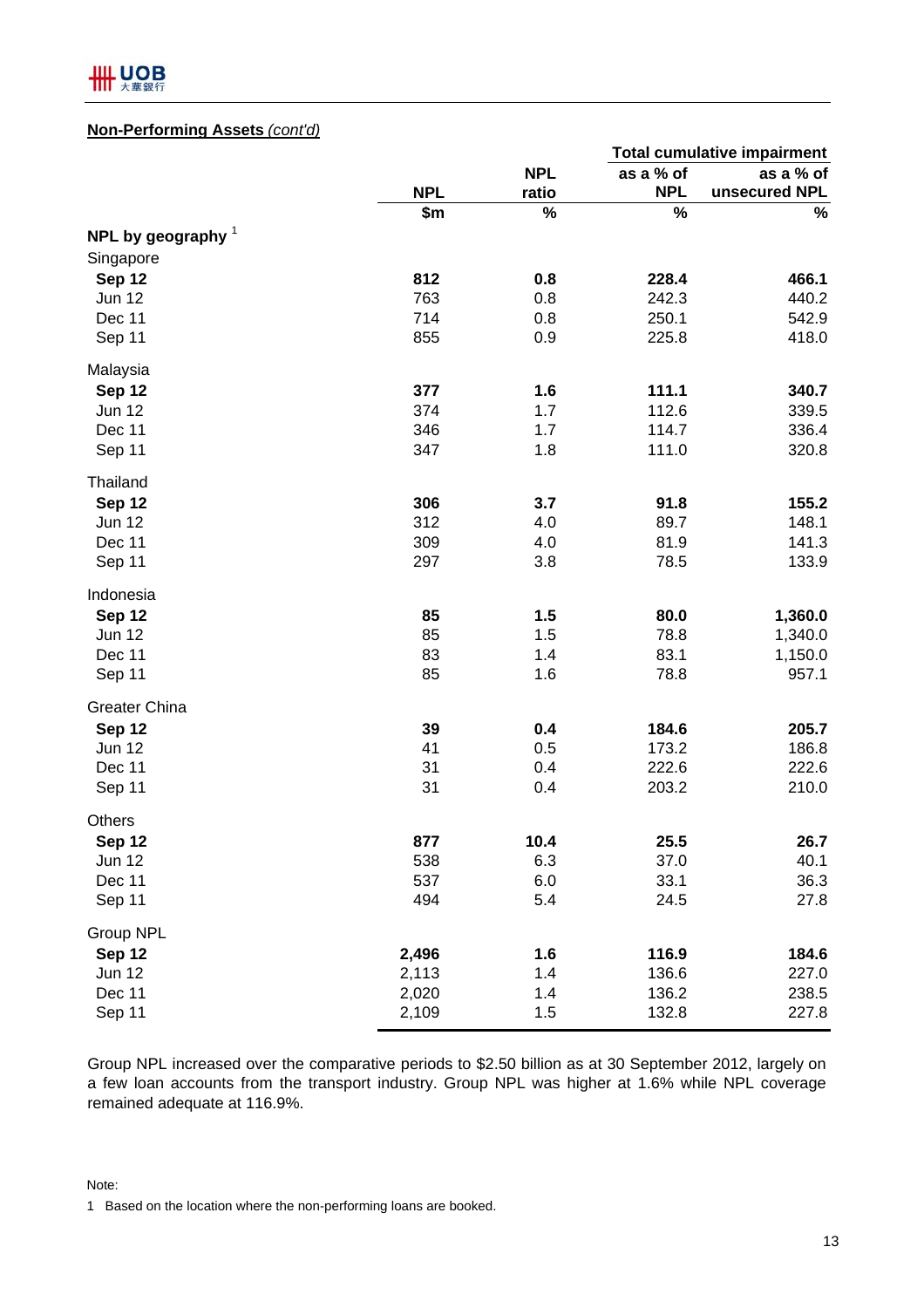

#### **Non-Performing Assets** *(cont'd)*

|                      |            |            | <b>Total cumulative impairment</b> |               |  |  |  |
|----------------------|------------|------------|------------------------------------|---------------|--|--|--|
|                      |            | <b>NPL</b> | as a % of                          | as a % of     |  |  |  |
|                      | <b>NPL</b> | ratio      | <b>NPL</b>                         | unsecured NPL |  |  |  |
|                      | \$m        | $\%$       | $\%$                               | %             |  |  |  |
| NPL by geography $1$ |            |            |                                    |               |  |  |  |
| Singapore            |            |            |                                    |               |  |  |  |
| Sep 12               | 812        | 0.8        | 228.4                              | 466.1         |  |  |  |
| <b>Jun 12</b>        | 763        | 0.8        | 242.3                              | 440.2         |  |  |  |
| Dec 11               | 714        | 0.8        | 250.1                              | 542.9         |  |  |  |
| Sep 11               | 855        | 0.9        | 225.8                              | 418.0         |  |  |  |
| Malaysia             |            |            |                                    |               |  |  |  |
| Sep 12               | 377        | 1.6        | 111.1                              | 340.7         |  |  |  |
| <b>Jun 12</b>        | 374        | 1.7        | 112.6                              | 339.5         |  |  |  |
| Dec 11               | 346        | 1.7        | 114.7                              | 336.4         |  |  |  |
| Sep 11               | 347        | 1.8        | 111.0                              | 320.8         |  |  |  |
| Thailand             |            |            |                                    |               |  |  |  |
| Sep 12               | 306        | 3.7        | 91.8                               | 155.2         |  |  |  |
| <b>Jun 12</b>        | 312        | 4.0        | 89.7                               | 148.1         |  |  |  |
| Dec 11               | 309        | 4.0        | 81.9                               | 141.3         |  |  |  |
| Sep 11               | 297        | 3.8        | 78.5                               | 133.9         |  |  |  |
| Indonesia            |            |            |                                    |               |  |  |  |
| Sep 12               | 85         | 1.5        | 80.0                               | 1,360.0       |  |  |  |
| <b>Jun 12</b>        | 85         | 1.5        | 78.8                               | 1,340.0       |  |  |  |
| Dec 11               | 83         | 1.4        | 83.1                               | 1,150.0       |  |  |  |
| Sep 11               | 85         | 1.6        | 78.8                               | 957.1         |  |  |  |
| <b>Greater China</b> |            |            |                                    |               |  |  |  |
| Sep 12               | 39         | 0.4        | 184.6                              | 205.7         |  |  |  |
| <b>Jun 12</b>        | 41         | 0.5        | 173.2                              | 186.8         |  |  |  |
| Dec 11               | 31         | 0.4        | 222.6                              | 222.6         |  |  |  |
| Sep 11               | 31         | 0.4        | 203.2                              | 210.0         |  |  |  |
| <b>Others</b>        |            |            |                                    |               |  |  |  |
| Sep 12               | 877        | 10.4       | 25.5                               | 26.7          |  |  |  |
| Jun 12               | 538        | 6.3        | 37.0                               | 40.1          |  |  |  |
| Dec 11               | 537        | 6.0        | 33.1                               | 36.3          |  |  |  |
| Sep 11               | 494        | 5.4        | 24.5                               | 27.8          |  |  |  |
| Group NPL            |            |            |                                    |               |  |  |  |
| Sep 12               | 2,496      | 1.6        | 116.9                              | 184.6         |  |  |  |
| <b>Jun 12</b>        | 2,113      | 1.4        | 136.6                              | 227.0         |  |  |  |
| Dec 11               | 2,020      | 1.4        | 136.2                              | 238.5         |  |  |  |
| Sep 11               | 2,109      | 1.5        | 132.8                              | 227.8         |  |  |  |

Group NPL increased over the comparative periods to \$2.50 billion as at 30 September 2012, largely on a few loan accounts from the transport industry. Group NPL was higher at 1.6% while NPL coverage remained adequate at 116.9%.

Note:

1 Based on the location where the non-performing loans are booked.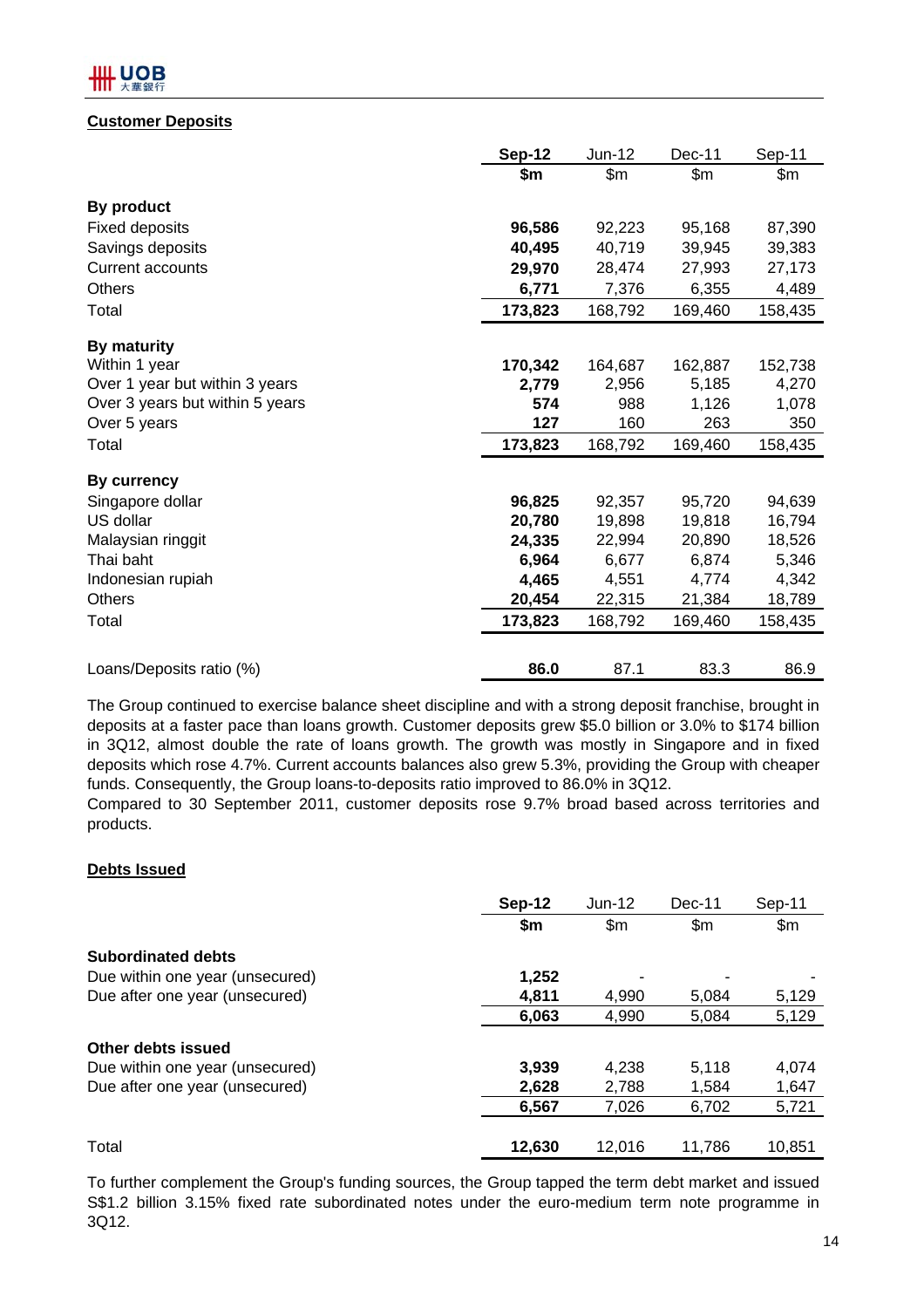## **LUOB**

#### **Customer Deposits**

|                                 | <b>Sep-12</b> | Jun-12  | Dec-11  | Sep-11  |
|---------------------------------|---------------|---------|---------|---------|
|                                 | \$m           | \$m\$   | \$m     | \$m     |
| By product                      |               |         |         |         |
| <b>Fixed deposits</b>           | 96,586        | 92,223  | 95,168  | 87,390  |
| Savings deposits                | 40,495        | 40,719  | 39,945  | 39,383  |
| <b>Current accounts</b>         | 29,970        | 28,474  | 27,993  | 27,173  |
| Others                          | 6,771         | 7,376   | 6,355   | 4,489   |
| Total                           | 173,823       | 168,792 | 169,460 | 158,435 |
| By maturity                     |               |         |         |         |
| Within 1 year                   | 170,342       | 164,687 | 162,887 | 152,738 |
| Over 1 year but within 3 years  | 2,779         | 2,956   | 5,185   | 4,270   |
| Over 3 years but within 5 years | 574           | 988     | 1,126   | 1,078   |
| Over 5 years                    | 127           | 160     | 263     | 350     |
| Total                           | 173,823       | 168,792 | 169,460 | 158,435 |
| <b>By currency</b>              |               |         |         |         |
| Singapore dollar                | 96,825        | 92,357  | 95,720  | 94,639  |
| US dollar                       | 20,780        | 19,898  | 19,818  | 16,794  |
| Malaysian ringgit               | 24,335        | 22,994  | 20,890  | 18,526  |
| Thai baht                       | 6,964         | 6,677   | 6,874   | 5,346   |
| Indonesian rupiah               | 4,465         | 4,551   | 4,774   | 4,342   |
| <b>Others</b>                   | 20,454        | 22,315  | 21,384  | 18,789  |
| Total                           | 173,823       | 168,792 | 169,460 | 158,435 |
|                                 |               |         |         |         |
| Loans/Deposits ratio (%)        | 86.0          | 87.1    | 83.3    | 86.9    |

The Group continued to exercise balance sheet discipline and with a strong deposit franchise, brought in deposits at a faster pace than loans growth. Customer deposits grew \$5.0 billion or 3.0% to \$174 billion in 3Q12, almost double the rate of loans growth. The growth was mostly in Singapore and in fixed deposits which rose 4.7%. Current accounts balances also grew 5.3%, providing the Group with cheaper funds. Consequently, the Group loans-to-deposits ratio improved to 86.0% in 3Q12.

Compared to 30 September 2011, customer deposits rose 9.7% broad based across territories and products.

#### **Debts Issued**

|                                 | Sep-12 | $Jun-12$      | $Dec-11$ | Sep-11 |
|---------------------------------|--------|---------------|----------|--------|
|                                 | \$m    | $\mathsf{Sm}$ | \$m      | \$m\$  |
| <b>Subordinated debts</b>       |        |               |          |        |
| Due within one year (unsecured) | 1,252  |               |          |        |
| Due after one year (unsecured)  | 4,811  | 4,990         | 5,084    | 5,129  |
|                                 | 6,063  | 4,990         | 5,084    | 5,129  |
| Other debts issued              |        |               |          |        |
| Due within one year (unsecured) | 3,939  | 4,238         | 5,118    | 4,074  |
| Due after one year (unsecured)  | 2,628  | 2.788         | 1.584    | 1,647  |
|                                 | 6.567  | 7,026         | 6,702    | 5,721  |
|                                 |        |               |          |        |
| Total                           | 12,630 | 12.016        | 11,786   | 10.851 |

To further complement the Group's funding sources, the Group tapped the term debt market and issued S\$1.2 billion 3.15% fixed rate subordinated notes under the euro-medium term note programme in 3Q12.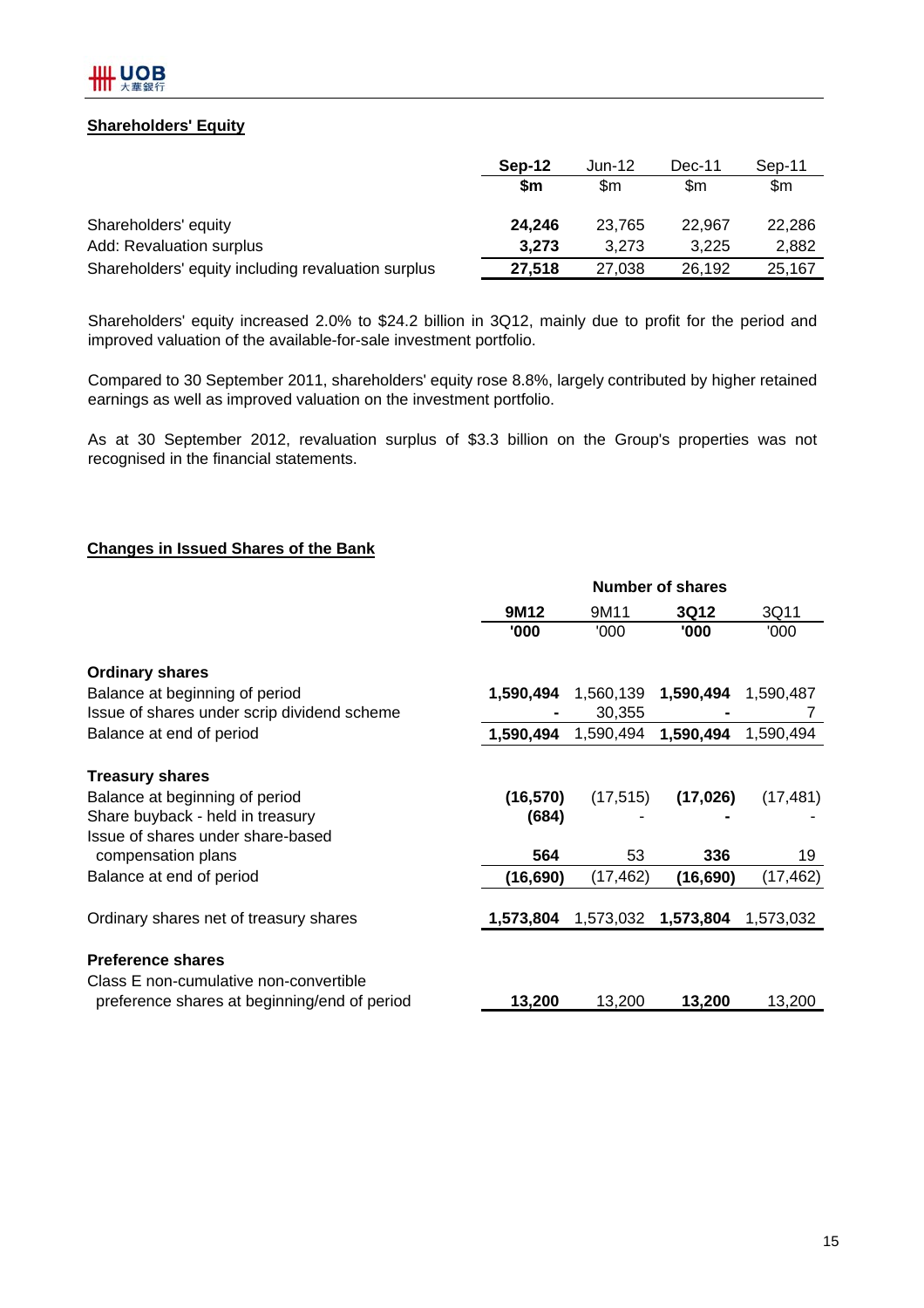

#### **Shareholders' Equity**

|                                                    | Sep-12 | Jun-12 | Dec-11 | Sep-11 |
|----------------------------------------------------|--------|--------|--------|--------|
|                                                    | \$m    | \$m    | \$m    | \$m    |
| Shareholders' equity                               | 24.246 | 23.765 | 22.967 | 22,286 |
| Add: Revaluation surplus                           | 3,273  | 3.273  | 3.225  | 2,882  |
| Shareholders' equity including revaluation surplus | 27,518 | 27,038 | 26,192 | 25,167 |

Shareholders' equity increased 2.0% to \$24.2 billion in 3Q12, mainly due to profit for the period and improved valuation of the available-for-sale investment portfolio.

Compared to 30 September 2011, shareholders' equity rose 8.8%, largely contributed by higher retained earnings as well as improved valuation on the investment portfolio.

As at 30 September 2012, revaluation surplus of \$3.3 billion on the Group's properties was not recognised in the financial statements.

#### **Changes in Issued Shares of the Bank**

|                                              | <b>Number of shares</b> |           |             |           |  |  |  |
|----------------------------------------------|-------------------------|-----------|-------------|-----------|--|--|--|
|                                              | 9M12                    | 9M11      | <b>3Q12</b> | 3Q11      |  |  |  |
|                                              | '000                    | '000      | '000        | '000      |  |  |  |
| <b>Ordinary shares</b>                       |                         |           |             |           |  |  |  |
| Balance at beginning of period               | 1,590,494               | 1,560,139 | 1,590,494   | 1,590,487 |  |  |  |
| Issue of shares under scrip dividend scheme  |                         | 30,355    |             | 7         |  |  |  |
| Balance at end of period                     | 1,590,494               | 1,590,494 | 1,590,494   | 1,590,494 |  |  |  |
| <b>Treasury shares</b>                       |                         |           |             |           |  |  |  |
| Balance at beginning of period               | (16, 570)               | (17, 515) | (17, 026)   | (17, 481) |  |  |  |
| Share buyback - held in treasury             | (684)                   |           |             |           |  |  |  |
| Issue of shares under share-based            |                         |           |             |           |  |  |  |
| compensation plans                           | 564                     | 53        | 336         | 19        |  |  |  |
| Balance at end of period                     | (16,690)                | (17, 462) | (16,690)    | (17, 462) |  |  |  |
| Ordinary shares net of treasury shares       | 1,573,804               | 1,573,032 | 1,573,804   | 1,573,032 |  |  |  |
|                                              |                         |           |             |           |  |  |  |
| <b>Preference shares</b>                     |                         |           |             |           |  |  |  |
| Class E non-cumulative non-convertible       |                         |           |             |           |  |  |  |
| preference shares at beginning/end of period | 13,200                  | 13,200    | 13,200      | 13,200    |  |  |  |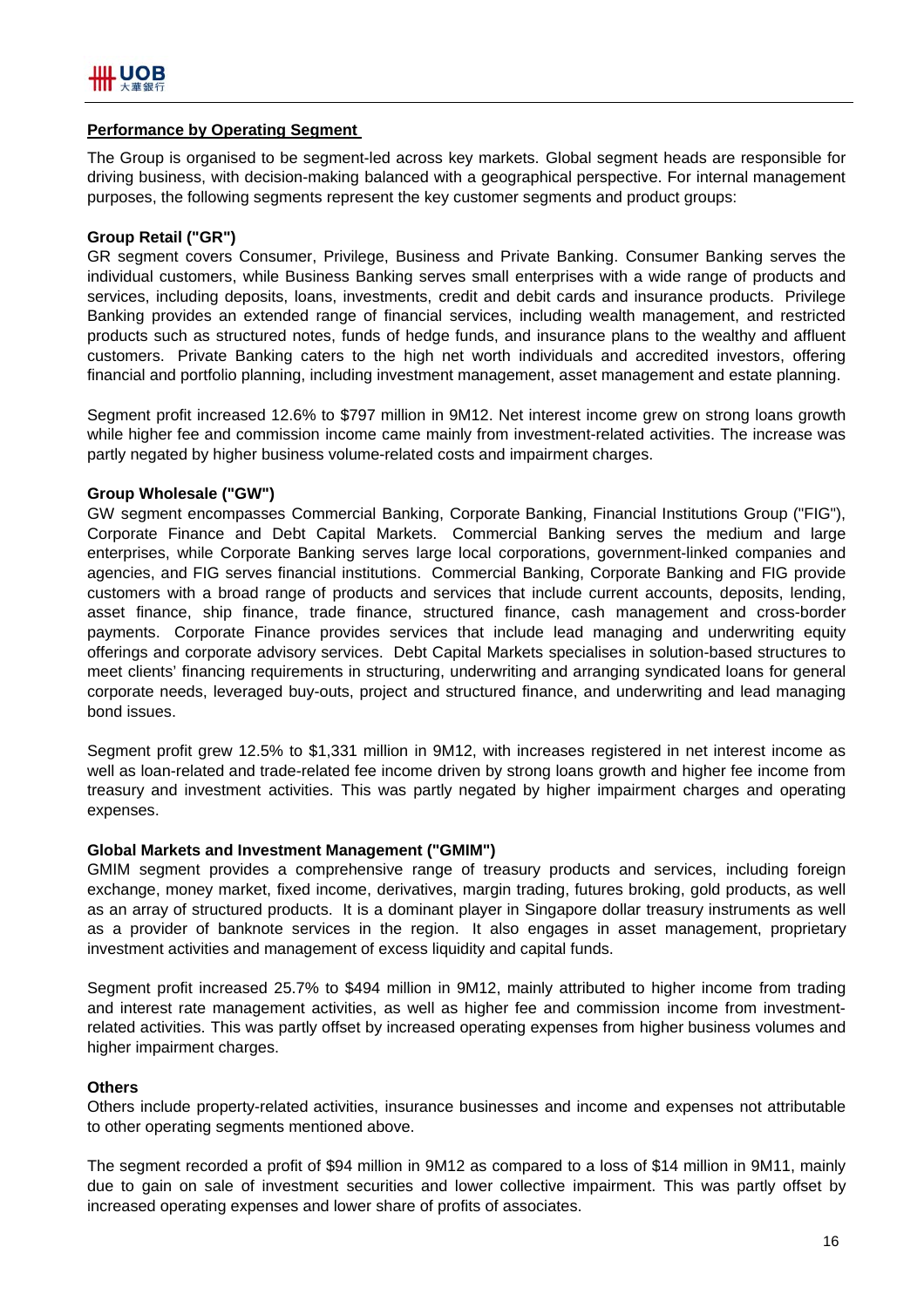#### **Performance by Operating Segment**

The Group is organised to be segment-led across key markets. Global segment heads are responsible for driving business, with decision-making balanced with a geographical perspective. For internal management purposes, the following segments represent the key customer segments and product groups:

#### **Group Retail ("GR")**

GR segment covers Consumer, Privilege, Business and Private Banking. Consumer Banking serves the individual customers, while Business Banking serves small enterprises with a wide range of products and services, including deposits, loans, investments, credit and debit cards and insurance products. Privilege Banking provides an extended range of financial services, including wealth management, and restricted products such as structured notes, funds of hedge funds, and insurance plans to the wealthy and affluent customers. Private Banking caters to the high net worth individuals and accredited investors, offering financial and portfolio planning, including investment management, asset management and estate planning.

Segment profit increased 12.6% to \$797 million in 9M12. Net interest income grew on strong loans growth while higher fee and commission income came mainly from investment-related activities. The increase was partly negated by higher business volume-related costs and impairment charges.

#### **Group Wholesale ("GW")**

GW segment encompasses Commercial Banking, Corporate Banking, Financial Institutions Group ("FIG"), Corporate Finance and Debt Capital Markets. Commercial Banking serves the medium and large enterprises, while Corporate Banking serves large local corporations, government-linked companies and agencies, and FIG serves financial institutions. Commercial Banking, Corporate Banking and FIG provide customers with a broad range of products and services that include current accounts, deposits, lending, asset finance, ship finance, trade finance, structured finance, cash management and cross-border payments. Corporate Finance provides services that include lead managing and underwriting equity offerings and corporate advisory services. Debt Capital Markets specialises in solution-based structures to meet clients' financing requirements in structuring, underwriting and arranging syndicated loans for general corporate needs, leveraged buy-outs, project and structured finance, and underwriting and lead managing bond issues.

Segment profit grew 12.5% to \$1,331 million in 9M12, with increases registered in net interest income as well as loan-related and trade-related fee income driven by strong loans growth and higher fee income from treasury and investment activities. This was partly negated by higher impairment charges and operating expenses.

#### **Global Markets and Investment Management ("GMIM")**

GMIM segment provides a comprehensive range of treasury products and services, including foreign exchange, money market, fixed income, derivatives, margin trading, futures broking, gold products, as well as an array of structured products. It is a dominant player in Singapore dollar treasury instruments as well as a provider of banknote services in the region. It also engages in asset management, proprietary investment activities and management of excess liquidity and capital funds.

Segment profit increased 25.7% to \$494 million in 9M12, mainly attributed to higher income from trading and interest rate management activities, as well as higher fee and commission income from investmentrelated activities. This was partly offset by increased operating expenses from higher business volumes and higher impairment charges.

#### **Others**

Others include property-related activities, insurance businesses and income and expenses not attributable to other operating segments mentioned above.

The segment recorded a profit of \$94 million in 9M12 as compared to a loss of \$14 million in 9M11, mainly due to gain on sale of investment securities and lower collective impairment. This was partly offset by increased operating expenses and lower share of profits of associates.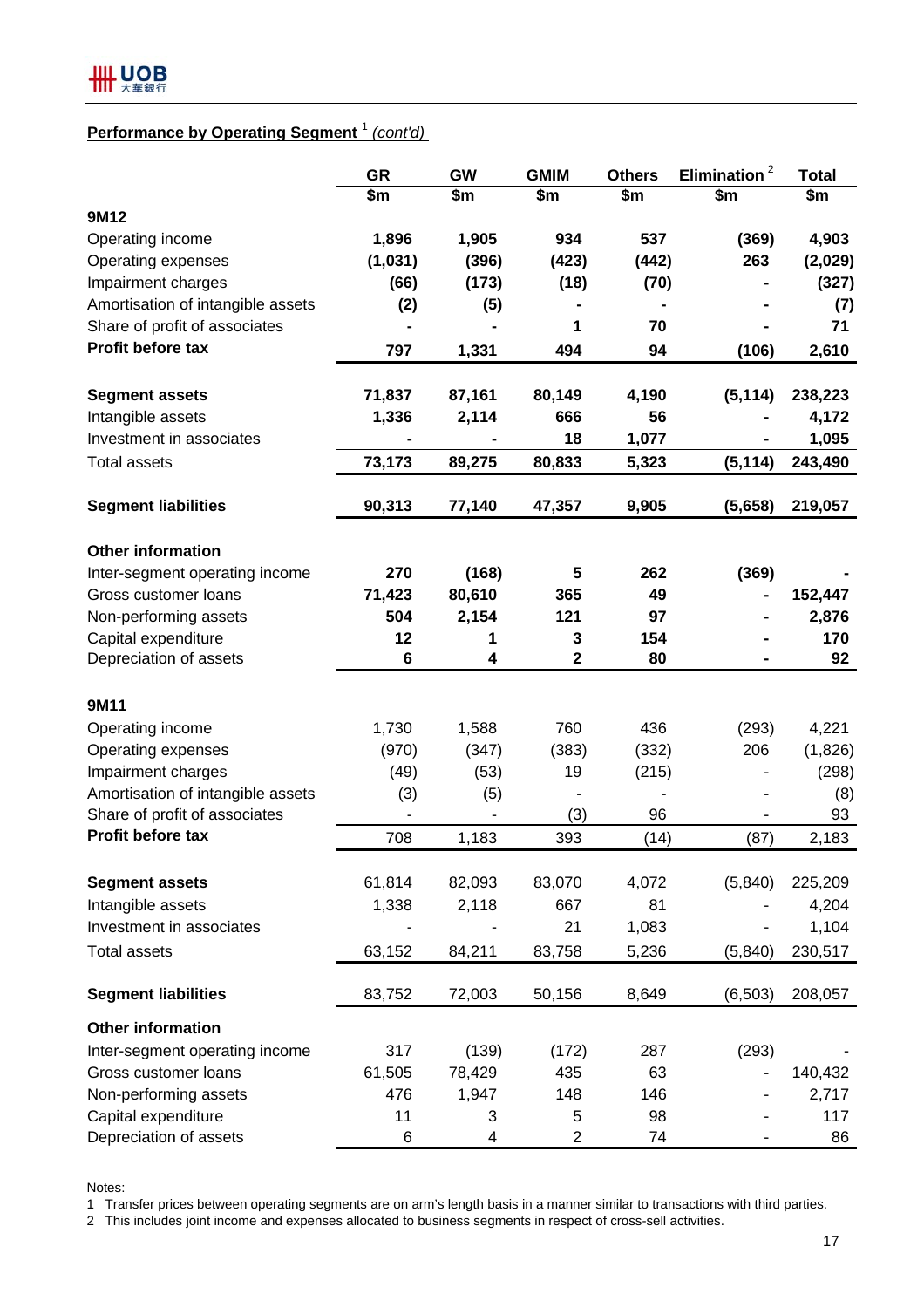## **Performance by Operating Segment** <sup>1</sup> *(cont'd)*

|                                               | <b>GR</b> | <b>GW</b> | <b>GMIM</b>    | <b>Others</b> | Elimination <sup>2</sup> | <b>Total</b>  |
|-----------------------------------------------|-----------|-----------|----------------|---------------|--------------------------|---------------|
|                                               | \$m\$     | \$m       | \$m            | $\frac{2}{3}$ | \$m                      | $\frac{2}{3}$ |
| 9M12                                          |           |           |                |               |                          |               |
| Operating income                              | 1,896     | 1,905     | 934            | 537           | (369)                    | 4,903         |
| Operating expenses                            | (1,031)   | (396)     | (423)          | (442)         | 263                      | (2,029)       |
| Impairment charges                            | (66)      | (173)     | (18)           | (70)          |                          | (327)         |
| Amortisation of intangible assets             | (2)       | (5)       |                |               |                          | (7)           |
| Share of profit of associates                 |           |           | 1              | 70            |                          | 71            |
| Profit before tax                             | 797       | 1,331     | 494            | 94            | (106)                    | 2,610         |
|                                               |           |           |                |               |                          |               |
| <b>Segment assets</b>                         | 71,837    | 87,161    | 80,149         | 4,190         | (5, 114)                 | 238,223       |
| Intangible assets                             | 1,336     | 2,114     | 666            | 56            |                          | 4,172         |
| Investment in associates                      |           |           | 18             | 1,077         |                          | 1,095         |
| <b>Total assets</b>                           | 73,173    | 89,275    | 80,833         | 5,323         | (5, 114)                 | 243,490       |
| <b>Segment liabilities</b>                    | 90,313    | 77,140    | 47,357         | 9,905         | (5,658)                  | 219,057       |
|                                               |           |           |                |               |                          |               |
| <b>Other information</b>                      |           |           |                |               |                          |               |
| Inter-segment operating income                | 270       | (168)     | 5              | 262           | (369)                    |               |
| Gross customer loans                          | 71,423    | 80,610    | 365            | 49            |                          | 152,447       |
| Non-performing assets                         | 504       | 2,154     | 121            | 97            |                          | 2,876         |
| Capital expenditure                           | 12        | 1         | 3              | 154           |                          | 170           |
| Depreciation of assets                        | 6         | 4         | 2              | 80            |                          | 92            |
|                                               |           |           |                |               |                          |               |
| 9M11                                          |           |           |                |               |                          |               |
| Operating income                              | 1,730     | 1,588     | 760            | 436           | (293)                    | 4,221         |
| Operating expenses                            | (970)     | (347)     | (383)          | (332)         | 206                      | (1,826)       |
| Impairment charges                            | (49)      | (53)      | 19             | (215)         |                          | (298)         |
| Amortisation of intangible assets             | (3)       | (5)       |                |               |                          | (8)           |
| Share of profit of associates                 |           |           | (3)            | 96            |                          | 93            |
| Profit before tax                             | 708       | 1,183     | 393            | (14)          | (87)                     | 2,183         |
| <b>Segment assets</b>                         | 61,814    | 82,093    | 83,070         | 4,072         | (5,840)                  | 225,209       |
|                                               |           | 2,118     | 667            | 81            |                          |               |
| Intangible assets<br>Investment in associates | 1,338     |           | 21             |               |                          | 4,204         |
|                                               |           |           |                | 1,083         |                          | 1,104         |
| <b>Total assets</b>                           | 63,152    | 84,211    | 83,758         | 5,236         | (5, 840)                 | 230,517       |
| <b>Segment liabilities</b>                    | 83,752    | 72,003    | 50,156         | 8,649         | (6, 503)                 | 208,057       |
| <b>Other information</b>                      |           |           |                |               |                          |               |
| Inter-segment operating income                | 317       | (139)     | (172)          | 287           | (293)                    |               |
| Gross customer loans                          | 61,505    | 78,429    | 435            | 63            |                          | 140,432       |
| Non-performing assets                         | 476       | 1,947     | 148            | 146           |                          | 2,717         |
| Capital expenditure                           | 11        | 3         | 5              | 98            |                          | 117           |
| Depreciation of assets                        | 6         | 4         | $\overline{2}$ | 74            |                          | 86            |

Notes:

1 Transfer prices between operating segments are on arm's length basis in a manner similar to transactions with third parties.

2 This includes joint income and expenses allocated to business segments in respect of cross-sell activities.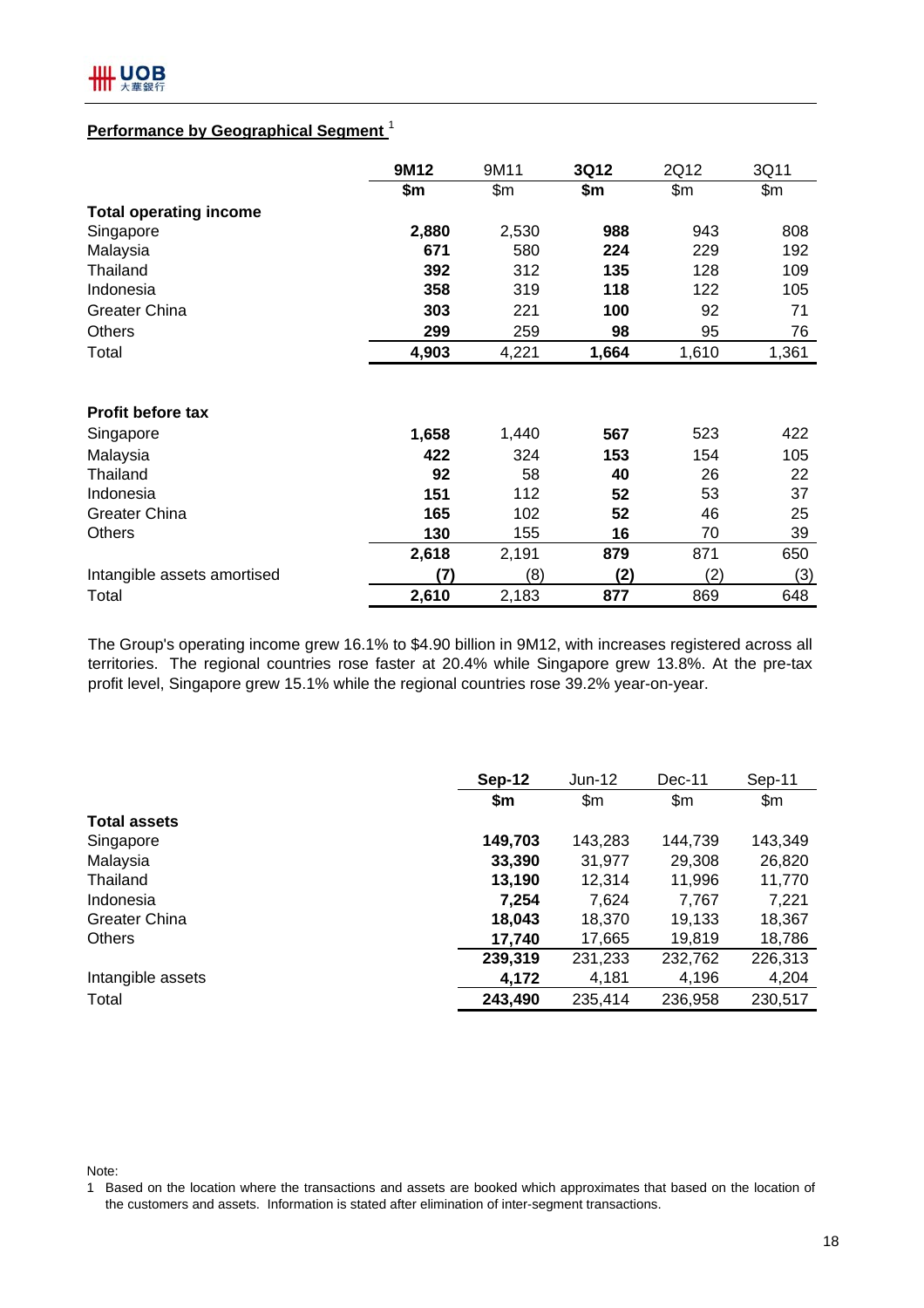### **Performance by Geographical Segment** <sup>1</sup>

|                               | 9M12  | 9M11  | 3Q12  | 2Q12  | 3Q11  |
|-------------------------------|-------|-------|-------|-------|-------|
|                               | \$m   | \$m\$ | \$m   | \$m\$ | \$m\$ |
| <b>Total operating income</b> |       |       |       |       |       |
| Singapore                     | 2,880 | 2,530 | 988   | 943   | 808   |
| Malaysia                      | 671   | 580   | 224   | 229   | 192   |
| Thailand                      | 392   | 312   | 135   | 128   | 109   |
| Indonesia                     | 358   | 319   | 118   | 122   | 105   |
| <b>Greater China</b>          | 303   | 221   | 100   | 92    | 71    |
| <b>Others</b>                 | 299   | 259   | 98    | 95    | 76    |
| Total                         | 4,903 | 4,221 | 1,664 | 1,610 | 1,361 |
|                               |       |       |       |       |       |
| Profit before tax             |       |       |       |       |       |
| Singapore                     | 1,658 | 1,440 | 567   | 523   | 422   |
| Malaysia                      | 422   | 324   | 153   | 154   | 105   |
| Thailand                      | 92    | 58    | 40    | 26    | 22    |
| Indonesia                     | 151   | 112   | 52    | 53    | 37    |
| <b>Greater China</b>          | 165   | 102   | 52    | 46    | 25    |
| <b>Others</b>                 | 130   | 155   | 16    | 70    | 39    |
|                               | 2,618 | 2,191 | 879   | 871   | 650   |
| Intangible assets amortised   | (7)   | (8)   | (2)   | (2)   | (3)   |
| Total                         | 2,610 | 2,183 | 877   | 869   | 648   |

The Group's operating income grew 16.1% to \$4.90 billion in 9M12, with increases registered across all territories. The regional countries rose faster at 20.4% while Singapore grew 13.8%. At the pre-tax profit level, Singapore grew 15.1% while the regional countries rose 39.2% year-on-year.

|                      | Sep-12  | $Jun-12$ | $Dec-11$      | Sep-11  |
|----------------------|---------|----------|---------------|---------|
|                      | \$m     | \$m\$    | $\mathsf{Sm}$ | \$m\$   |
| <b>Total assets</b>  |         |          |               |         |
| Singapore            | 149,703 | 143,283  | 144.739       | 143,349 |
| Malaysia             | 33,390  | 31,977   | 29,308        | 26,820  |
| Thailand             | 13,190  | 12,314   | 11,996        | 11,770  |
| Indonesia            | 7,254   | 7,624    | 7,767         | 7,221   |
| <b>Greater China</b> | 18,043  | 18,370   | 19,133        | 18,367  |
| <b>Others</b>        | 17,740  | 17,665   | 19,819        | 18,786  |
|                      | 239,319 | 231,233  | 232,762       | 226,313 |
| Intangible assets    | 4,172   | 4,181    | 4,196         | 4,204   |
| Total                | 243,490 | 235,414  | 236,958       | 230,517 |

Note:

<sup>1</sup> Based on the location where the transactions and assets are booked which approximates that based on the location of the customers and assets. Information is stated after elimination of inter-segment transactions.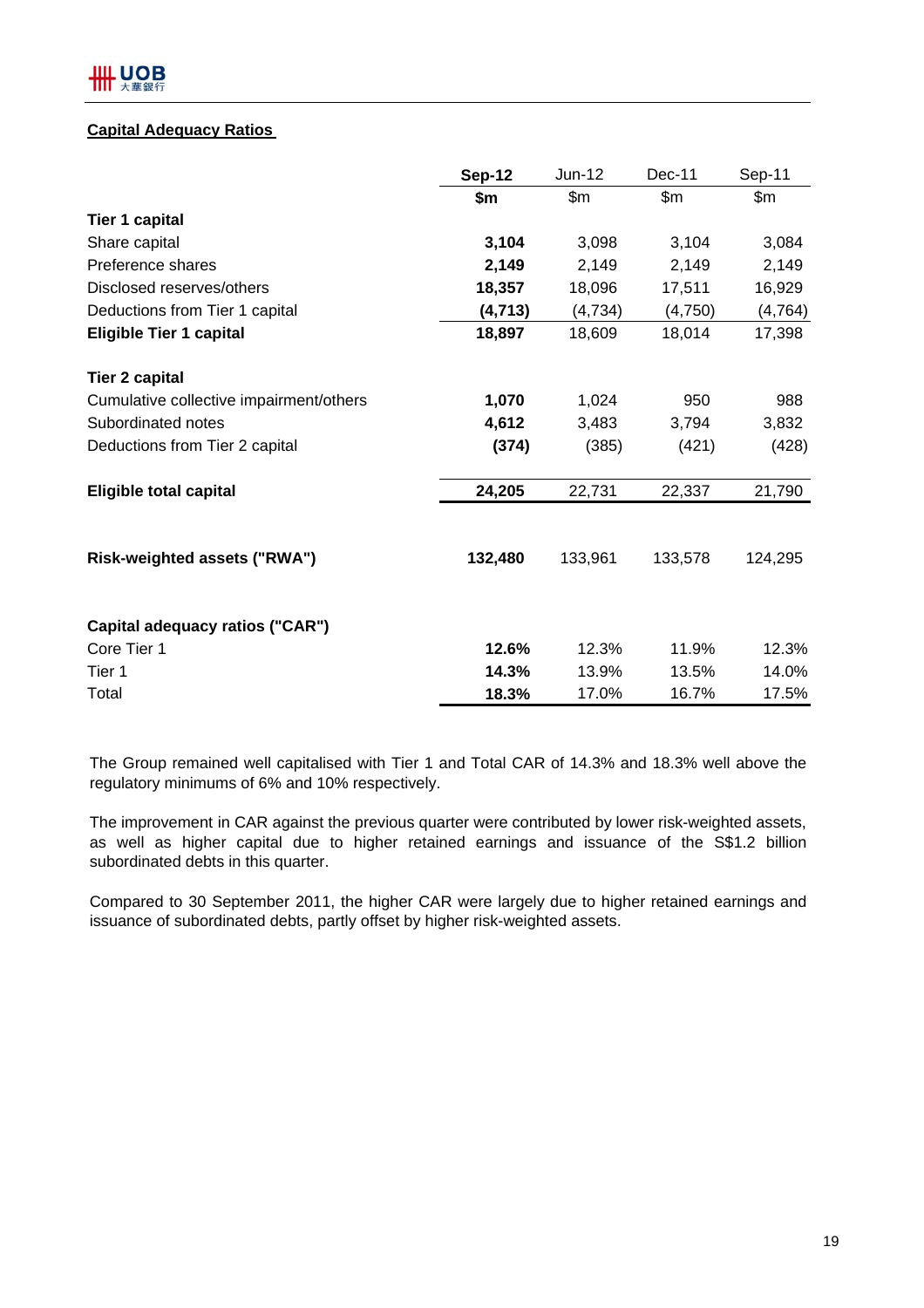#### **Capital Adequacy Ratios**

|                                         | <b>Sep-12</b> | Jun-12  | Dec-11  | Sep-11        |
|-----------------------------------------|---------------|---------|---------|---------------|
|                                         | \$m           | \$m\$   | \$m\$   | $\mathsf{Sm}$ |
| <b>Tier 1 capital</b>                   |               |         |         |               |
| Share capital                           | 3,104         | 3,098   | 3,104   | 3,084         |
| Preference shares                       | 2,149         | 2,149   | 2,149   | 2,149         |
| Disclosed reserves/others               | 18,357        | 18,096  | 17,511  | 16,929        |
| Deductions from Tier 1 capital          | (4, 713)      | (4,734) | (4,750) | (4, 764)      |
| <b>Eligible Tier 1 capital</b>          | 18,897        | 18,609  | 18,014  | 17,398        |
| <b>Tier 2 capital</b>                   |               |         |         |               |
| Cumulative collective impairment/others | 1,070         | 1,024   | 950     | 988           |
| Subordinated notes                      | 4,612         | 3,483   | 3,794   | 3,832         |
| Deductions from Tier 2 capital          | (374)         | (385)   | (421)   | (428)         |
| <b>Eligible total capital</b>           | 24,205        | 22,731  | 22,337  | 21,790        |
| Risk-weighted assets ("RWA")            | 132,480       | 133,961 | 133,578 | 124,295       |
| Capital adequacy ratios ("CAR")         |               |         |         |               |
| Core Tier 1                             | 12.6%         | 12.3%   | 11.9%   | 12.3%         |
| Tier 1                                  | 14.3%         | 13.9%   | 13.5%   | 14.0%         |
| Total                                   | 18.3%         | 17.0%   | 16.7%   | 17.5%         |

The Group remained well capitalised with Tier 1 and Total CAR of 14.3% and 18.3% well above the regulatory minimums of 6% and 10% respectively.

The improvement in CAR against the previous quarter were contributed by lower risk-weighted assets, as well as higher capital due to higher retained earnings and issuance of the S\$1.2 billion subordinated debts in this quarter.

Compared to 30 September 2011, the higher CAR were largely due to higher retained earnings and issuance of subordinated debts, partly offset by higher risk-weighted assets.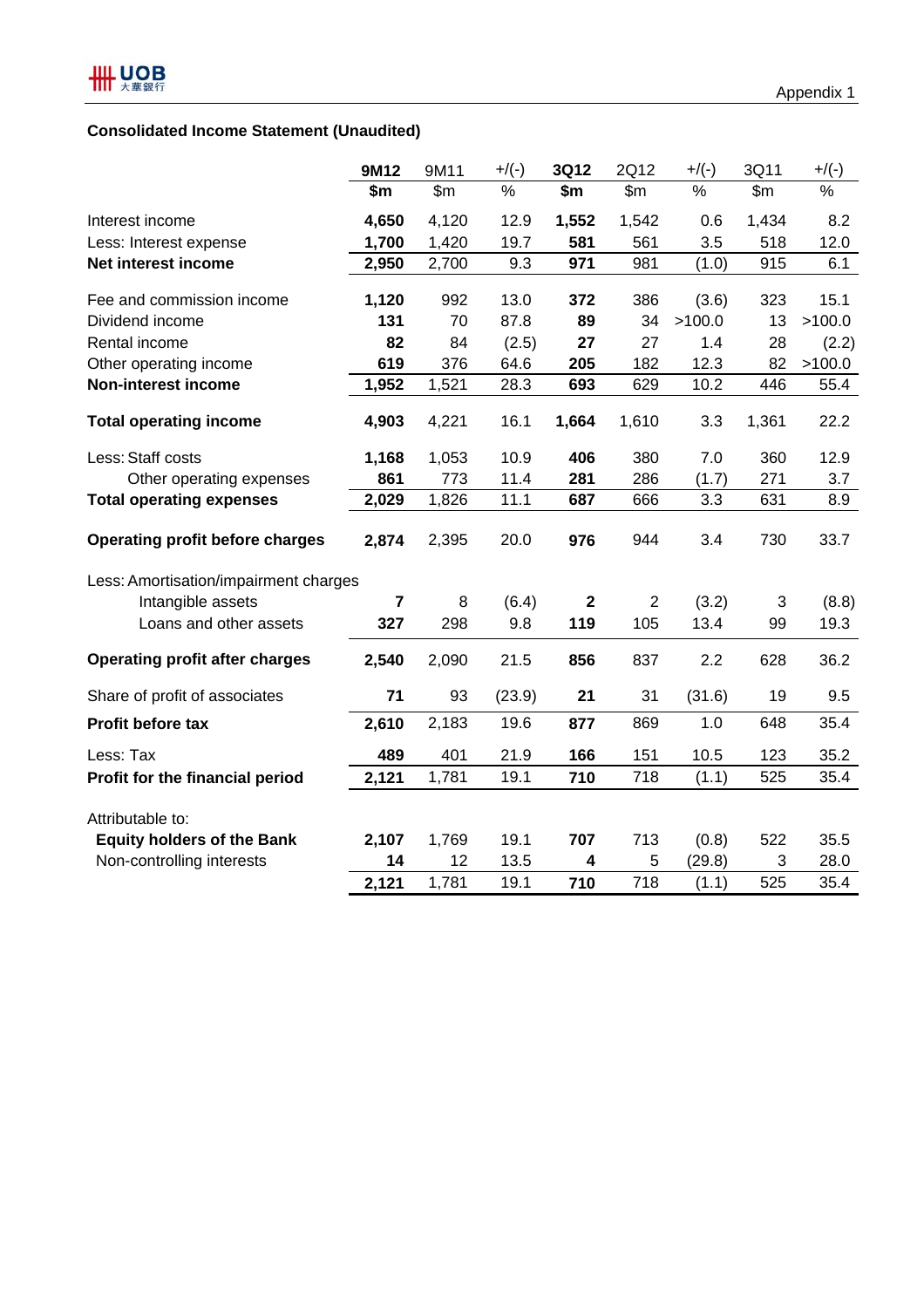|                                        | 9M12           | 9M11          | $+$ /(-) | 3Q12         | 2Q12           | $+$ /(-) | 3Q11         | $+$ /(-) |
|----------------------------------------|----------------|---------------|----------|--------------|----------------|----------|--------------|----------|
|                                        | \$m            | $\mathsf{Sm}$ | $\%$     | \$m\$        | \$m\$          | %        | $\mathsf{m}$ | $\%$     |
| Interest income                        | 4,650          | 4,120         | 12.9     | 1,552        | 1,542          | 0.6      | 1,434        | 8.2      |
| Less: Interest expense                 | 1,700          | 1,420         | 19.7     | 581          | 561            | 3.5      | 518          | 12.0     |
| Net interest income                    | 2,950          | 2,700         | 9.3      | 971          | 981            | (1.0)    | 915          | 6.1      |
| Fee and commission income              | 1,120          | 992           | 13.0     | 372          | 386            | (3.6)    | 323          | 15.1     |
| Dividend income                        | 131            | 70            | 87.8     | 89           | 34             | >100.0   | 13           | >100.0   |
| Rental income                          | 82             | 84            | (2.5)    | 27           | 27             | 1.4      | 28           | (2.2)    |
| Other operating income                 | 619            | 376           | 64.6     | 205          | 182            | 12.3     | 82           | >100.0   |
| <b>Non-interest income</b>             | 1,952          | 1,521         | 28.3     | 693          | 629            | 10.2     | 446          | 55.4     |
| <b>Total operating income</b>          | 4,903          | 4,221         | 16.1     | 1,664        | 1,610          | 3.3      | 1,361        | 22.2     |
| Less: Staff costs                      | 1,168          | 1,053         | 10.9     | 406          | 380            | 7.0      | 360          | 12.9     |
| Other operating expenses               | 861            | 773           | 11.4     | 281          | 286            | (1.7)    | 271          | 3.7      |
| <b>Total operating expenses</b>        | 2,029          | 1,826         | 11.1     | 687          | 666            | 3.3      | 631          | 8.9      |
| <b>Operating profit before charges</b> | 2,874          | 2,395         | 20.0     | 976          | 944            | 3.4      | 730          | 33.7     |
| Less: Amortisation/impairment charges  |                |               |          |              |                |          |              |          |
| Intangible assets                      | $\overline{7}$ | 8             | (6.4)    | $\mathbf{2}$ | $\overline{2}$ | (3.2)    | 3            | (8.8)    |
| Loans and other assets                 | 327            | 298           | 9.8      | 119          | 105            | 13.4     | 99           | 19.3     |
| <b>Operating profit after charges</b>  | 2,540          | 2,090         | 21.5     | 856          | 837            | 2.2      | 628          | 36.2     |
| Share of profit of associates          | 71             | 93            | (23.9)   | 21           | 31             | (31.6)   | 19           | 9.5      |
| Profit before tax                      | 2,610          | 2,183         | 19.6     | 877          | 869            | 1.0      | 648          | 35.4     |
| Less: Tax                              | 489            | 401           | 21.9     | 166          | 151            | 10.5     | 123          | 35.2     |
| Profit for the financial period        | 2,121          | 1,781         | 19.1     | 710          | 718            | (1.1)    | 525          | 35.4     |
| Attributable to:                       |                |               |          |              |                |          |              |          |
| <b>Equity holders of the Bank</b>      | 2,107          | 1,769         | 19.1     | 707          | 713            | (0.8)    | 522          | 35.5     |
| Non-controlling interests              | 14             | 12            | 13.5     | 4            | 5              | (29.8)   | 3            | 28.0     |
|                                        | 2,121          | 1,781         | 19.1     | 710          | 718            | (1.1)    | 525          | 35.4     |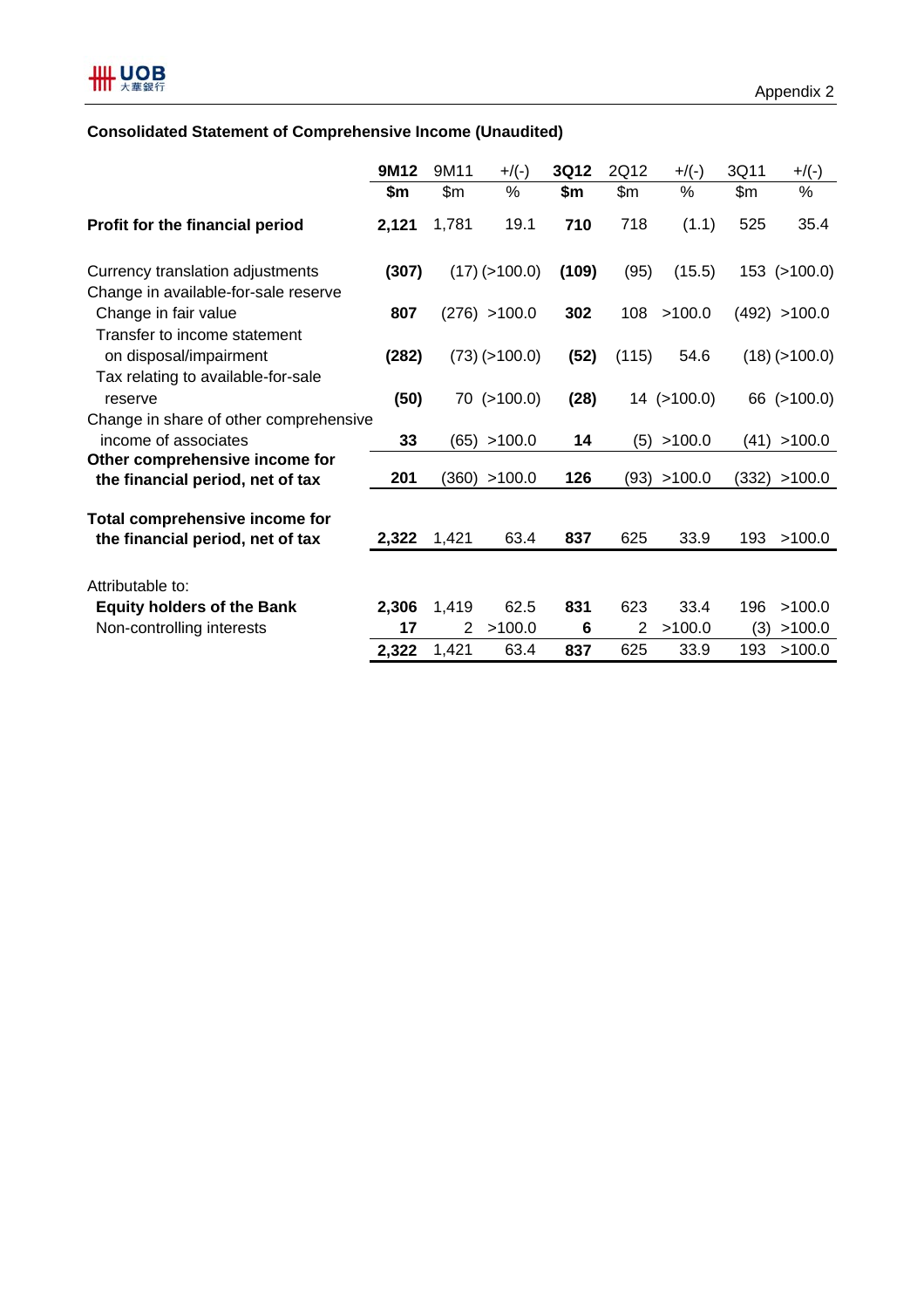## **Consolidated Statement of Comprehensive Income (Unaudited)**

|                                                                    | 9M12  | 9M11  | $+$ /(-)            | 3Q12  | 2Q12  | $+$ /(-)          | 3Q11 | $+$ /(-)        |
|--------------------------------------------------------------------|-------|-------|---------------------|-------|-------|-------------------|------|-----------------|
|                                                                    | \$m   | \$m\$ | %                   | \$m   | \$m\$ | $\%$              | \$m  | %               |
| Profit for the financial period                                    | 2,121 | 1,781 | 19.1                | 710   | 718   | (1.1)             | 525  | 35.4            |
| Currency translation adjustments                                   | (307) |       | $(17)$ ( $>100.0$ ) | (109) | (95)  | (15.5)            |      | 153 (>100.0)    |
| Change in available-for-sale reserve<br>Change in fair value       | 807   |       | (276) > 100.0       | 302   | 108   | >100.0            |      | (492) > 100.0   |
| Transfer to income statement<br>on disposal/impairment             | (282) |       | $(73)$ ( $>100.0$ ) | (52)  | (115) | 54.6              |      | $(18)$ (>100.0) |
| Tax relating to available-for-sale<br>reserve                      | (50)  |       | 70 (>100.0)         | (28)  |       | $14$ ( $>100.0$ ) |      | 66 (>100.0)     |
| Change in share of other comprehensive<br>income of associates     | 33    |       | (65) > 100.0        | 14    | (5)   | >100.0            | (41) | >100.0          |
| Other comprehensive income for<br>the financial period, net of tax | 201   |       | (360) > 100.0       | 126   |       | (93) > 100.0      |      | (332) > 100.0   |
| Total comprehensive income for                                     |       |       |                     |       |       |                   |      |                 |
| the financial period, net of tax                                   | 2,322 | 1,421 | 63.4                | 837   | 625   | 33.9              | 193  | >100.0          |
| Attributable to:                                                   |       |       |                     |       |       |                   |      |                 |
| <b>Equity holders of the Bank</b>                                  | 2,306 | 1,419 | 62.5                | 831   | 623   | 33.4              | 196  | >100.0          |
| Non-controlling interests                                          | 17    | 2     | >100.0              | 6     | 2     | >100.0            | (3)  | >100.0          |
|                                                                    | 2,322 | 1,421 | 63.4                | 837   | 625   | 33.9              | 193  | >100.0          |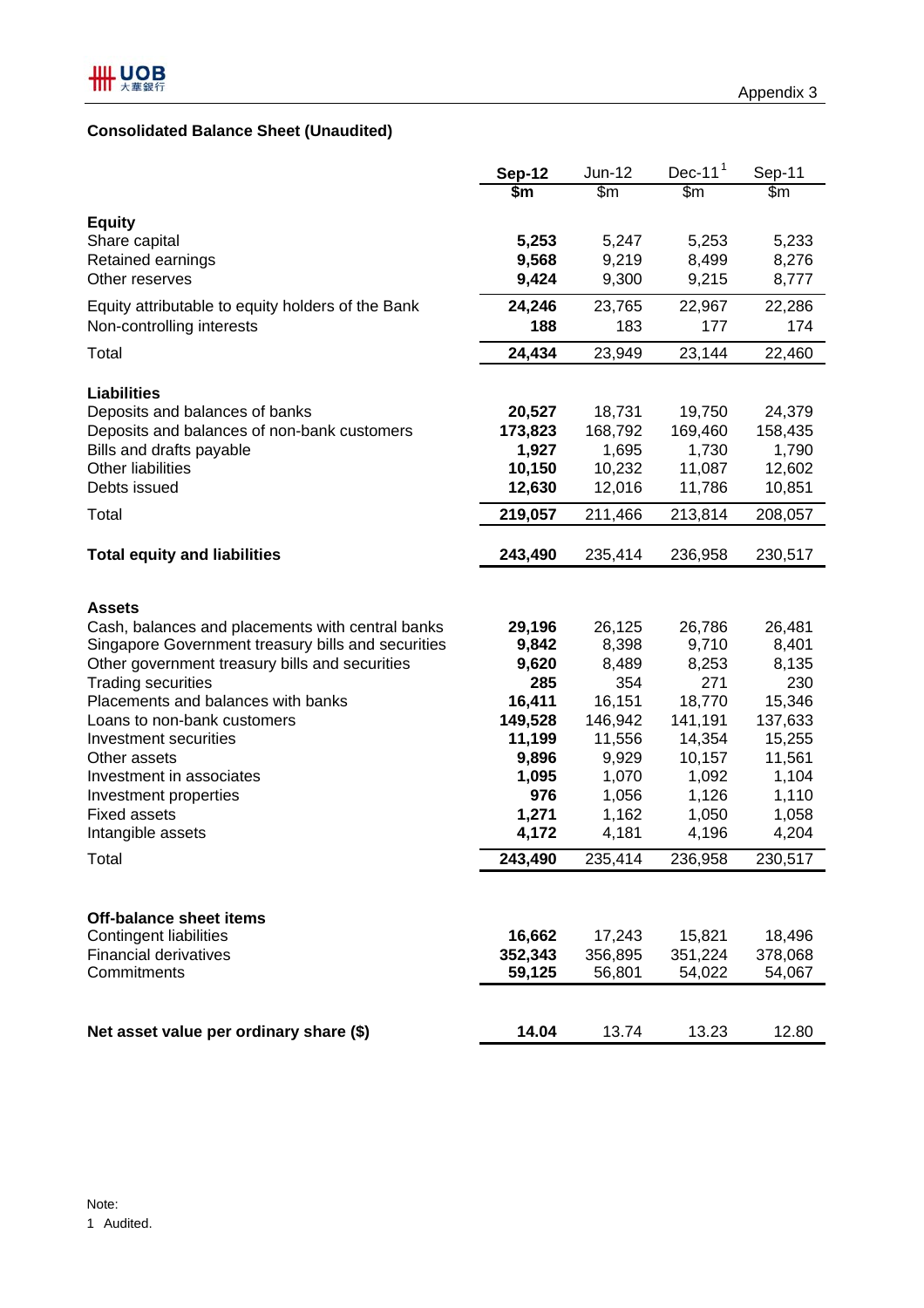|                                                    | <b>Sep-12</b> | Jun-12           | Dec-11 $1$ | Sep-11  |
|----------------------------------------------------|---------------|------------------|------------|---------|
|                                                    | \$m           | $\overline{\$m}$ | \$m        | \$m\$   |
| <b>Equity</b>                                      |               |                  |            |         |
| Share capital                                      | 5,253         | 5,247            | 5,253      | 5,233   |
| Retained earnings                                  | 9,568         | 9,219            | 8,499      | 8,276   |
| Other reserves                                     | 9,424         | 9,300            | 9,215      | 8,777   |
| Equity attributable to equity holders of the Bank  | 24,246        | 23,765           | 22,967     | 22,286  |
| Non-controlling interests                          | 188           | 183              | 177        | 174     |
| Total                                              | 24,434        | 23,949           | 23,144     | 22,460  |
| <b>Liabilities</b>                                 |               |                  |            |         |
| Deposits and balances of banks                     | 20,527        | 18,731           | 19,750     | 24,379  |
| Deposits and balances of non-bank customers        | 173,823       | 168,792          | 169,460    | 158,435 |
| Bills and drafts payable                           | 1,927         | 1,695            | 1,730      | 1,790   |
| <b>Other liabilities</b>                           | 10,150        | 10,232           | 11,087     | 12,602  |
| Debts issued                                       | 12,630        | 12,016           | 11,786     | 10,851  |
| Total                                              | 219,057       | 211,466          | 213,814    | 208,057 |
| <b>Total equity and liabilities</b>                | 243,490       | 235,414          | 236,958    | 230,517 |
|                                                    |               |                  |            |         |
| <b>Assets</b>                                      |               |                  |            |         |
| Cash, balances and placements with central banks   | 29,196        | 26,125           | 26,786     | 26,481  |
| Singapore Government treasury bills and securities | 9,842         | 8,398            | 9,710      | 8,401   |
| Other government treasury bills and securities     | 9,620         | 8,489            | 8,253      | 8,135   |
| <b>Trading securities</b>                          | 285           | 354              | 271        | 230     |
| Placements and balances with banks                 | 16,411        | 16,151           | 18,770     | 15,346  |
| Loans to non-bank customers                        | 149,528       | 146,942          | 141,191    | 137,633 |
| Investment securities                              | 11,199        | 11,556           | 14,354     | 15,255  |
| Other assets                                       | 9,896         | 9,929            | 10,157     | 11,561  |
| Investment in associates                           | 1,095         | 1,070            | 1,092      | 1,104   |
| Investment properties                              | 976           | 1,056            | 1,126      | 1,110   |
| <b>Fixed assets</b>                                | 1,271         | 1,162            | 1,050      | 1,058   |
| Intangible assets                                  | 4,172         | 4,181            | 4,196      | 4,204   |
| Total                                              | 243,490       | 235,414          | 236,958    | 230,517 |
|                                                    |               |                  |            |         |
| <b>Off-balance sheet items</b>                     |               |                  |            |         |
| <b>Contingent liabilities</b>                      | 16,662        | 17,243           | 15,821     | 18,496  |
| <b>Financial derivatives</b>                       | 352,343       | 356,895          | 351,224    | 378,068 |
| Commitments                                        | 59,125        | 56,801           | 54,022     | 54,067  |
|                                                    |               |                  |            |         |
| Net asset value per ordinary share (\$)            | 14.04         | 13.74            | 13.23      | 12.80   |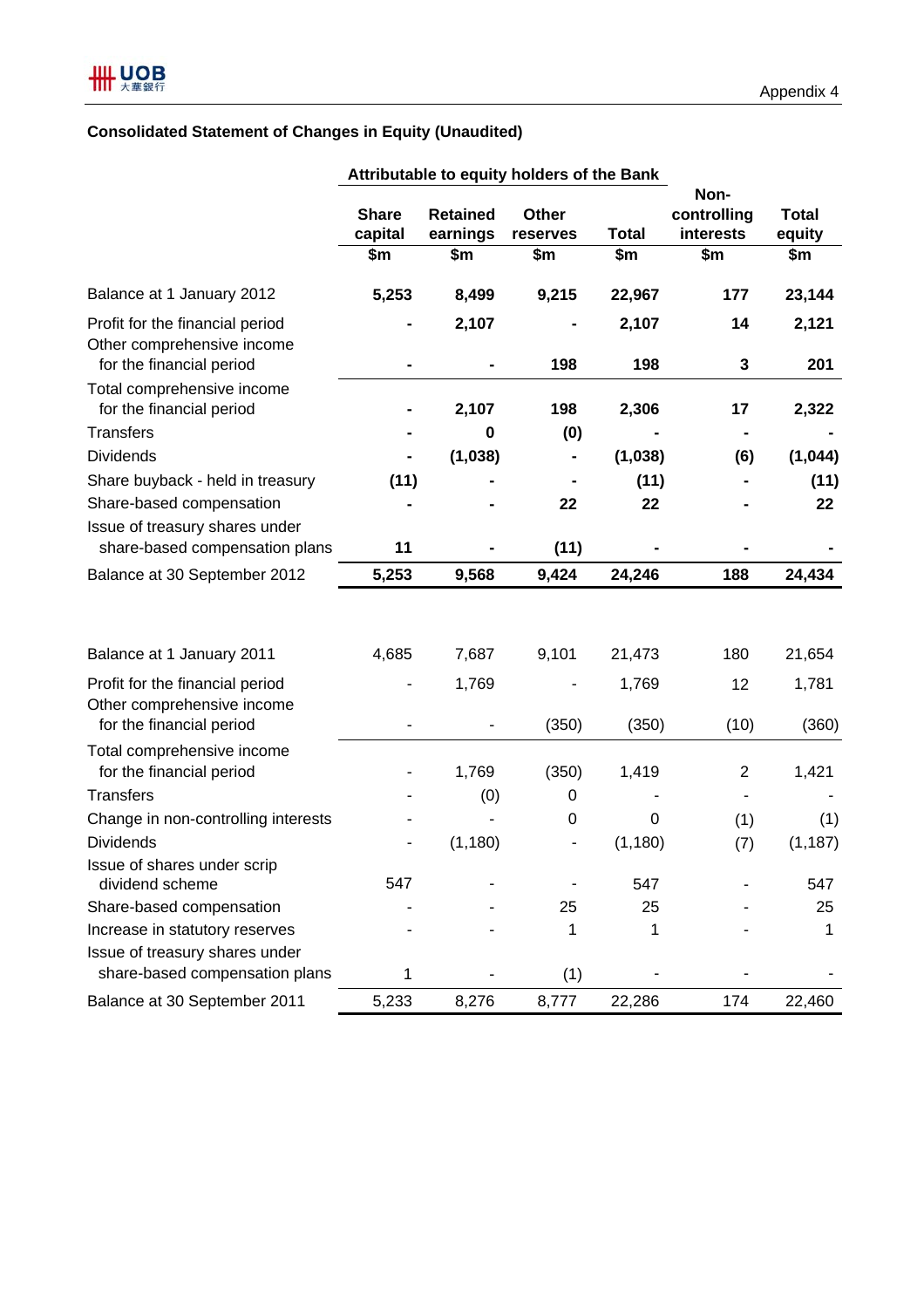## **Consolidated Statement of Changes in Equity (Unaudited)**

|                                                                                           |                         |                             | Attributable to equity holders of the Bank |                |                                  |                        |
|-------------------------------------------------------------------------------------------|-------------------------|-----------------------------|--------------------------------------------|----------------|----------------------------------|------------------------|
|                                                                                           | <b>Share</b><br>capital | <b>Retained</b><br>earnings | <b>Other</b><br>reserves                   | <b>Total</b>   | Non-<br>controlling<br>interests | <b>Total</b><br>equity |
|                                                                                           | \$m                     | \$m                         | \$m                                        | \$m            | \$m                              | \$m                    |
| Balance at 1 January 2012                                                                 | 5,253                   | 8,499                       | 9,215                                      | 22,967         | 177                              | 23,144                 |
| Profit for the financial period<br>Other comprehensive income<br>for the financial period |                         | 2,107                       | 198                                        | 2,107<br>198   | 14<br>3                          | 2,121<br>201           |
| Total comprehensive income<br>for the financial period                                    |                         | 2,107                       | 198                                        | 2,306          | 17                               | 2,322                  |
| <b>Transfers</b>                                                                          |                         | 0                           | (0)                                        |                | $\blacksquare$                   |                        |
| <b>Dividends</b>                                                                          |                         | (1,038)                     |                                            | (1,038)        | (6)                              | (1,044)                |
| Share buyback - held in treasury                                                          | (11)                    |                             |                                            | (11)           |                                  | (11)                   |
| Share-based compensation                                                                  |                         |                             | 22                                         | 22             |                                  | 22                     |
| Issue of treasury shares under<br>share-based compensation plans                          | 11                      |                             | (11)                                       |                |                                  |                        |
| Balance at 30 September 2012                                                              | 5,253                   | 9,568                       | 9,424                                      | 24,246         | 188                              | 24,434                 |
| Balance at 1 January 2011                                                                 | 4,685                   | 7,687                       | 9,101                                      | 21,473         | 180                              | 21,654                 |
| Profit for the financial period<br>Other comprehensive income<br>for the financial period |                         | 1,769                       | (350)                                      | 1,769<br>(350) | 12<br>(10)                       | 1,781<br>(360)         |
| Total comprehensive income<br>for the financial period<br><b>Transfers</b>                |                         | 1,769<br>(0)                | (350)<br>0                                 | 1,419          | $\overline{c}$                   | 1,421                  |
| Change in non-controlling interests                                                       |                         |                             | $\pmb{0}$                                  | $\mathbf 0$    |                                  | (1)                    |
| <b>Dividends</b>                                                                          |                         | (1, 180)                    | ۰                                          | (1, 180)       | (1)<br>(7)                       | (1, 187)               |
| Issue of shares under scrip<br>dividend scheme                                            | 547                     |                             |                                            | 547            |                                  | 547                    |
| Share-based compensation                                                                  |                         |                             | 25                                         | 25             |                                  | 25                     |
| Increase in statutory reserves                                                            |                         |                             | 1                                          | 1              |                                  | 1                      |
| Issue of treasury shares under<br>share-based compensation plans                          | 1                       |                             | (1)                                        |                |                                  |                        |
| Balance at 30 September 2011                                                              | 5,233                   | 8,276                       | 8,777                                      | 22,286         | 174                              | 22,460                 |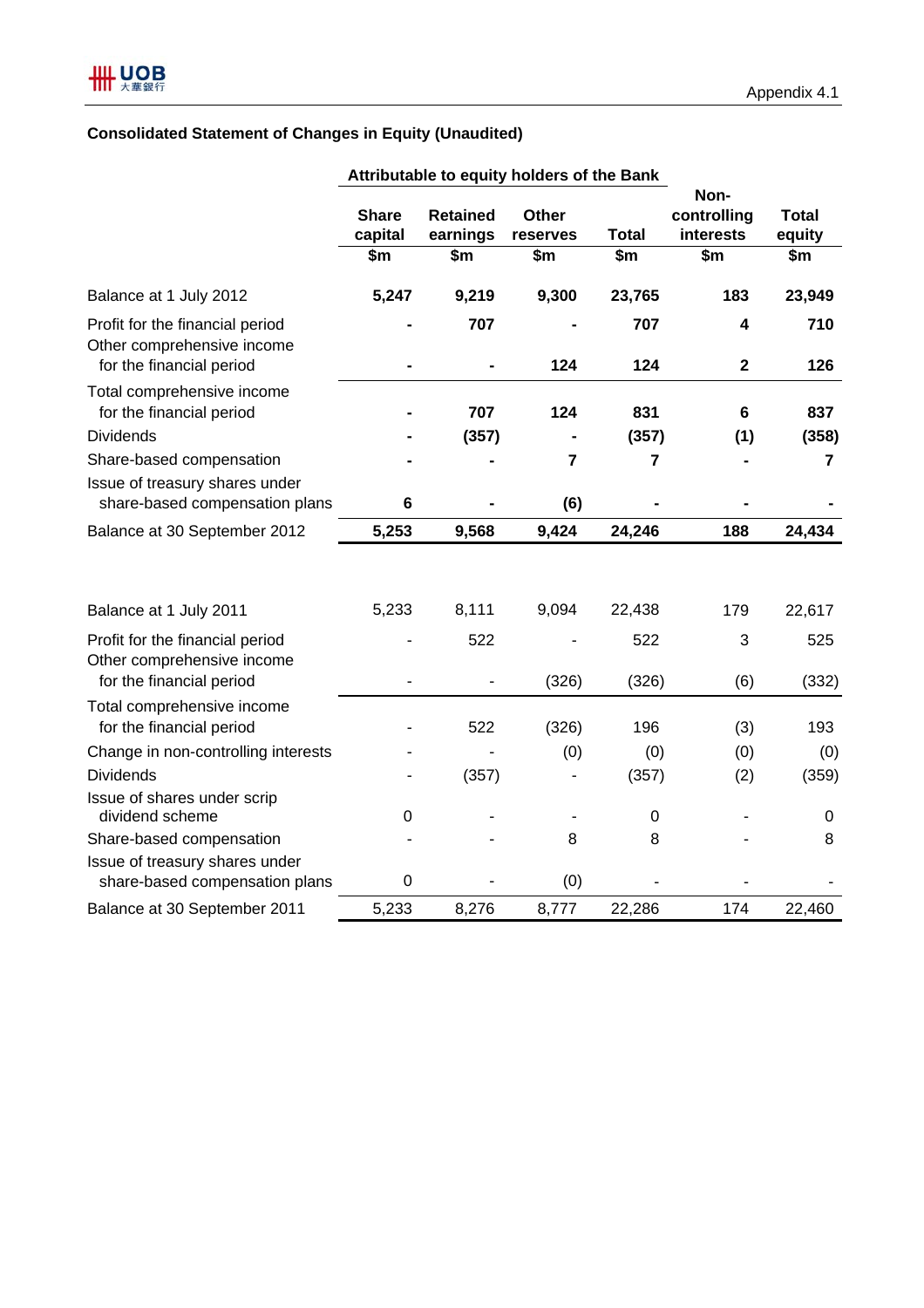## **Consolidated Statement of Changes in Equity (Unaudited)**

|                                                                                           | Attributable to equity holders of the Bank |                             |                          |                         |                                  |                        |
|-------------------------------------------------------------------------------------------|--------------------------------------------|-----------------------------|--------------------------|-------------------------|----------------------------------|------------------------|
|                                                                                           | <b>Share</b><br>capital                    | <b>Retained</b><br>earnings | <b>Other</b><br>reserves | <b>Total</b>            | Non-<br>controlling<br>interests | <b>Total</b><br>equity |
|                                                                                           | $\overline{\text{sm}}$                     | $\overline{\$m}$            | $\overline{\$m}$         | $\overline{\text{sm}}$  | $\overline{\text{sm}}$           | $\overline{\text{sm}}$ |
| Balance at 1 July 2012                                                                    | 5,247                                      | 9,219                       | 9,300                    | 23,765                  | 183                              | 23,949                 |
| Profit for the financial period<br>Other comprehensive income<br>for the financial period |                                            | 707                         | 124                      | 707<br>124              | 4<br>$\mathbf 2$                 | 710<br>126             |
| Total comprehensive income<br>for the financial period                                    |                                            | 707                         | 124                      | 831                     | 6                                | 837                    |
| <b>Dividends</b>                                                                          |                                            | (357)                       |                          | (357)                   | (1)                              | (358)                  |
| Share-based compensation                                                                  |                                            |                             | 7                        | $\overline{\mathbf{r}}$ |                                  | 7                      |
| Issue of treasury shares under<br>share-based compensation plans                          | 6                                          |                             | (6)                      |                         |                                  |                        |
| Balance at 30 September 2012                                                              | 5,253                                      | 9,568                       | 9,424                    | 24,246                  | 188                              | 24,434                 |
| Balance at 1 July 2011                                                                    | 5,233                                      | 8,111                       | 9,094                    | 22,438                  | 179                              | 22,617                 |
| Profit for the financial period<br>Other comprehensive income<br>for the financial period |                                            | 522                         | (326)                    | 522<br>(326)            | 3<br>(6)                         | 525<br>(332)           |
| Total comprehensive income<br>for the financial period                                    |                                            | 522                         | (326)                    | 196                     | (3)                              | 193                    |
| Change in non-controlling interests                                                       |                                            |                             | (0)                      | (0)                     | (0)                              | (0)                    |
| <b>Dividends</b>                                                                          |                                            | (357)                       |                          | (357)                   | (2)                              | (359)                  |
| Issue of shares under scrip<br>dividend scheme                                            | 0                                          |                             |                          | $\mathbf 0$             |                                  | 0                      |
| Share-based compensation                                                                  |                                            |                             | 8                        | 8                       |                                  | 8                      |
| Issue of treasury shares under<br>share-based compensation plans                          | $\mathbf 0$                                |                             | (0)                      |                         |                                  |                        |
| Balance at 30 September 2011                                                              | 5,233                                      | 8,276                       | 8,777                    | 22,286                  | 174                              | 22,460                 |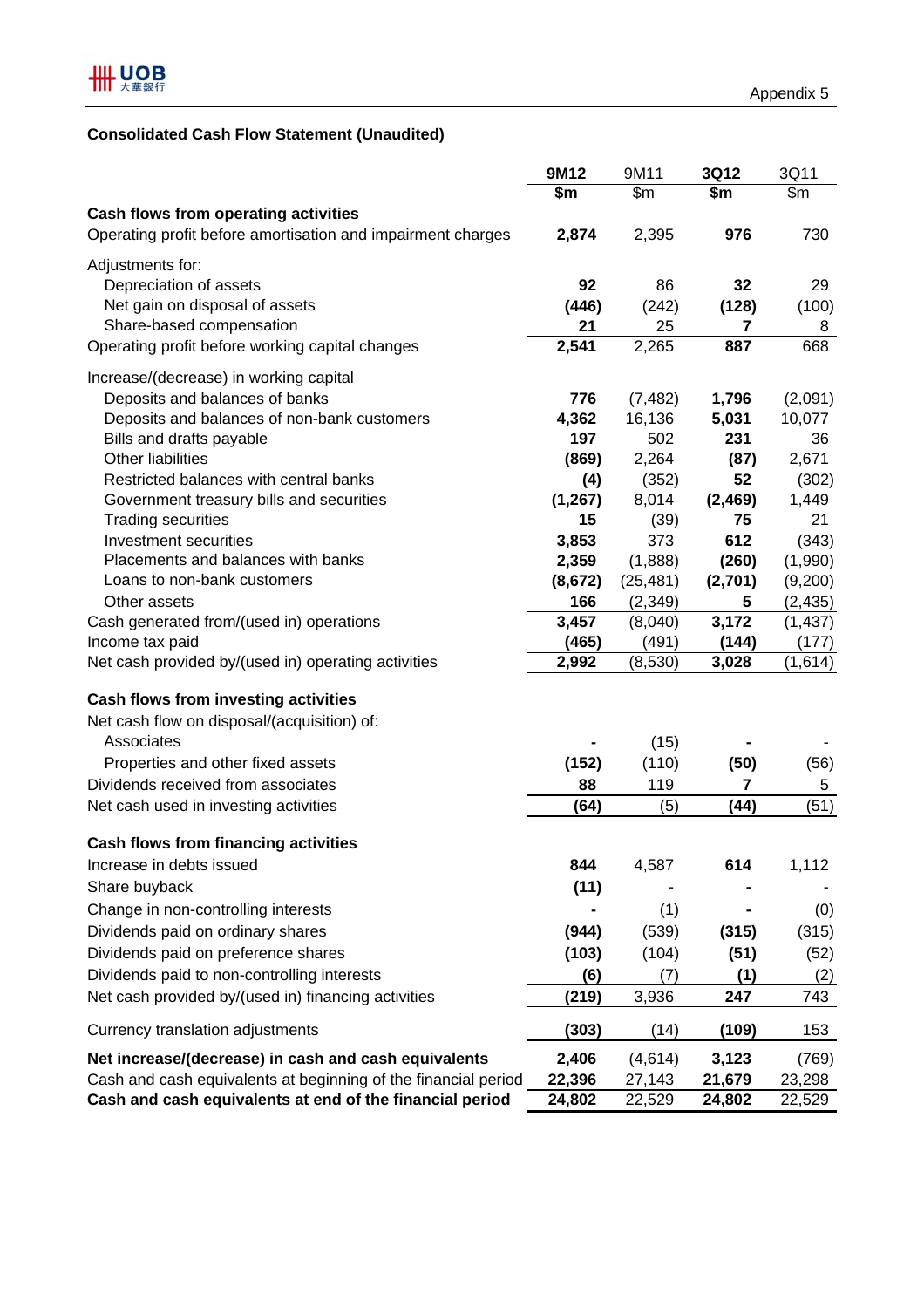## **Consolidated Cash Flow Statement (Unaudited)**

|                                                                | 9M12     | 9M11      | 3Q12    | 3Q11     |
|----------------------------------------------------------------|----------|-----------|---------|----------|
|                                                                | \$m      | \$m\$     | \$m     | \$m      |
| <b>Cash flows from operating activities</b>                    |          |           |         |          |
| Operating profit before amortisation and impairment charges    | 2,874    | 2,395     | 976     | 730      |
| Adjustments for:                                               |          |           |         |          |
| Depreciation of assets                                         | 92       | 86        | 32      | 29       |
| Net gain on disposal of assets                                 | (446)    | (242)     | (128)   | (100)    |
| Share-based compensation                                       | 21       | 25        | 7       | 8        |
| Operating profit before working capital changes                | 2,541    | 2,265     | 887     | 668      |
|                                                                |          |           |         |          |
| Increase/(decrease) in working capital                         |          |           |         |          |
| Deposits and balances of banks                                 | 776      | (7, 482)  | 1,796   | (2,091)  |
| Deposits and balances of non-bank customers                    | 4,362    | 16,136    | 5,031   | 10,077   |
| Bills and drafts payable                                       | 197      | 502       | 231     | 36       |
| <b>Other liabilities</b>                                       | (869)    | 2,264     | (87)    | 2,671    |
| Restricted balances with central banks                         | (4)      | (352)     | 52      | (302)    |
| Government treasury bills and securities                       | (1, 267) | 8,014     | (2,469) | 1,449    |
| <b>Trading securities</b>                                      | 15       | (39)      | 75      | 21       |
| <b>Investment securities</b>                                   | 3,853    | 373       | 612     | (343)    |
| Placements and balances with banks                             | 2,359    | (1,888)   | (260)   | (1,990)  |
| Loans to non-bank customers                                    | (8,672)  | (25, 481) | (2,701) | (9,200)  |
| Other assets                                                   | 166      | (2, 349)  | 5       | (2, 435) |
| Cash generated from/(used in) operations                       | 3,457    | (8,040)   | 3,172   | (1, 437) |
| Income tax paid                                                | (465)    | (491)     | (144)   | (177)    |
| Net cash provided by/(used in) operating activities            | 2,992    | (8,530)   | 3,028   | (1,614)  |
| <b>Cash flows from investing activities</b>                    |          |           |         |          |
| Net cash flow on disposal/(acquisition) of:                    |          |           |         |          |
| Associates                                                     |          |           |         |          |
|                                                                |          | (15)      |         |          |
| Properties and other fixed assets                              | (152)    | (110)     | (50)    | (56)     |
| Dividends received from associates                             | 88       | 119       | 7       | 5        |
| Net cash used in investing activities                          | (64)     | (5)       | (44)    | (51)     |
| <b>Cash flows from financing activities</b>                    |          |           |         |          |
| Increase in debts issued                                       | 844      | 4,587     | 614     | 1,112    |
| Share buyback                                                  | (11)     |           |         |          |
| Change in non-controlling interests                            |          | (1)       |         | (0)      |
| Dividends paid on ordinary shares                              | (944)    | (539)     | (315)   | (315)    |
| Dividends paid on preference shares                            | (103)    | (104)     | (51)    | (52)     |
| Dividends paid to non-controlling interests                    | (6)      | (7)       | (1)     |          |
|                                                                |          |           |         | (2)      |
| Net cash provided by/(used in) financing activities            | (219)    | 3,936     | 247     | 743      |
| Currency translation adjustments                               | (303)    | (14)      | (109)   | 153      |
| Net increase/(decrease) in cash and cash equivalents           | 2,406    | (4,614)   | 3,123   | (769)    |
| Cash and cash equivalents at beginning of the financial period | 22,396   | 27,143    | 21,679  | 23,298   |
| Cash and cash equivalents at end of the financial period       | 24,802   | 22,529    | 24,802  | 22,529   |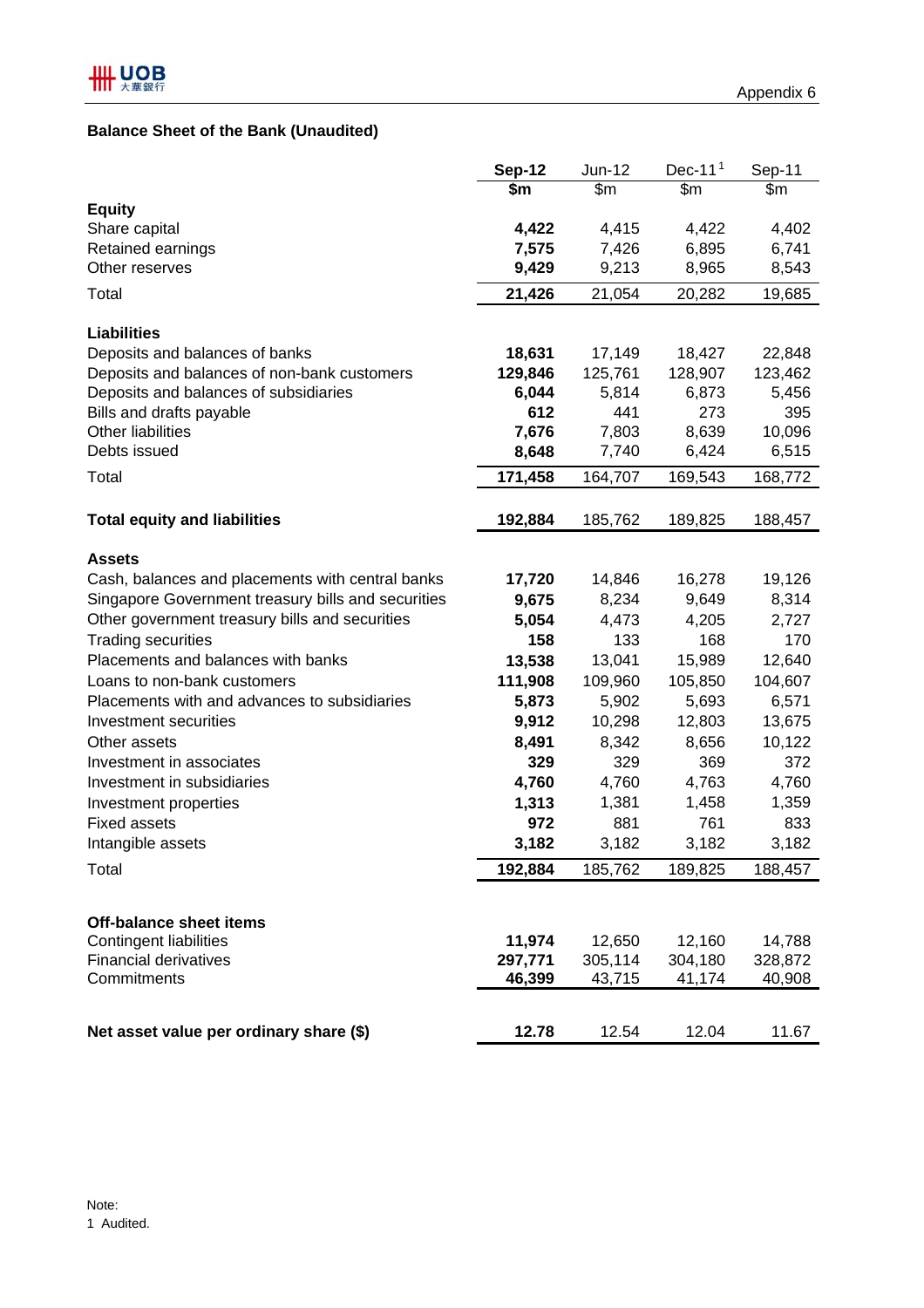### **Balance Sheet of the Bank (Unaudited)**

|                                                    | <b>Sep-12</b>     | Jun-12            | Dec-11 $1$        | Sep-11            |
|----------------------------------------------------|-------------------|-------------------|-------------------|-------------------|
|                                                    | \$m               | \$m               | $\mathsf{S}$ m    | \$m               |
| <b>Equity</b>                                      |                   |                   |                   |                   |
| Share capital                                      | 4,422             | 4,415             | 4,422             | 4,402             |
| Retained earnings                                  | 7,575             | 7,426             | 6,895             | 6,741             |
| Other reserves                                     | 9,429             | 9,213             | 8,965             | 8,543             |
| Total                                              | 21,426            | 21,054            | 20,282            | 19,685            |
| <b>Liabilities</b>                                 |                   |                   |                   |                   |
| Deposits and balances of banks                     | 18,631            | 17,149            | 18,427            | 22,848            |
| Deposits and balances of non-bank customers        | 129,846           | 125,761           | 128,907           | 123,462           |
| Deposits and balances of subsidiaries              | 6,044             | 5,814             | 6,873             | 5,456             |
| Bills and drafts payable                           | 612               | 441               | 273               | 395               |
| Other liabilities                                  | 7,676             | 7,803             | 8,639             | 10,096            |
| Debts issued                                       | 8,648             | 7,740             | 6,424             | 6,515             |
| Total                                              | 171,458           | 164,707           | 169,543           | 168,772           |
| <b>Total equity and liabilities</b>                | 192,884           | 185,762           | 189,825           | 188,457           |
|                                                    |                   |                   |                   |                   |
| <b>Assets</b>                                      |                   |                   |                   |                   |
| Cash, balances and placements with central banks   | 17,720            | 14,846            | 16,278            | 19,126            |
| Singapore Government treasury bills and securities | 9,675             | 8,234             | 9,649             | 8,314             |
| Other government treasury bills and securities     | 5,054             | 4,473             | 4,205             | 2,727             |
| <b>Trading securities</b>                          | 158               | 133               | 168               | 170               |
| Placements and balances with banks                 | 13,538            | 13,041            | 15,989            | 12,640            |
| Loans to non-bank customers                        | 111,908           | 109,960           | 105,850           | 104,607           |
| Placements with and advances to subsidiaries       | 5,873             | 5,902             | 5,693             | 6,571             |
| Investment securities                              | 9,912             | 10,298            | 12,803            | 13,675            |
| Other assets                                       | 8,491             | 8,342             | 8,656             | 10,122            |
| Investment in associates                           | 329               | 329               | 369               | 372               |
| Investment in subsidiaries                         | 4,760             | 4,760             | 4,763             | 4,760             |
| Investment properties                              | 1,313             | 1,381             | 1,458             | 1,359             |
| <b>Fixed assets</b>                                | 972               | 881               | 761               | 833               |
| Intangible assets                                  | 3,182             | 3,182             | 3,182             | 3,182             |
| Total                                              | 192,884           | 185,762           | 189,825           | 188,457           |
|                                                    |                   |                   |                   |                   |
| <b>Off-balance sheet items</b>                     |                   |                   |                   |                   |
| <b>Contingent liabilities</b>                      | 11,974            | 12,650            | 12,160            | 14,788            |
| <b>Financial derivatives</b><br>Commitments        | 297,771<br>46,399 | 305,114<br>43,715 | 304,180<br>41,174 | 328,872<br>40,908 |
|                                                    |                   |                   |                   |                   |
| Net asset value per ordinary share (\$)            | 12.78             | 12.54             | 12.04             | 11.67             |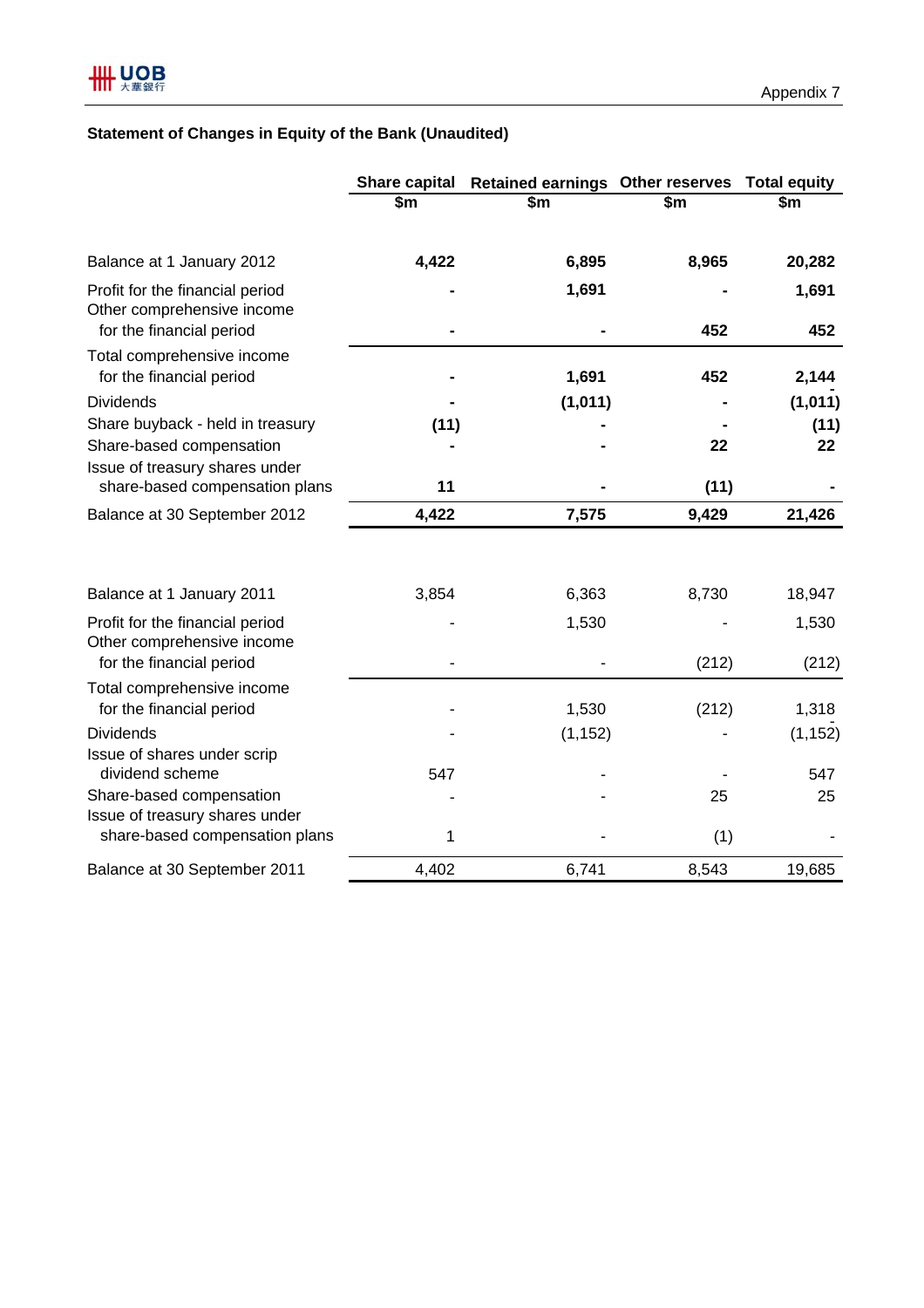## **Statement of Changes in Equity of the Bank (Unaudited)**

|                                                                                            | <b>Share capital</b>   | Retained earnings Other reserves Total equity |       |                 |
|--------------------------------------------------------------------------------------------|------------------------|-----------------------------------------------|-------|-----------------|
|                                                                                            | $\overline{\text{sm}}$ | \$m                                           | \$m   | \$m             |
| Balance at 1 January 2012                                                                  | 4,422                  | 6,895                                         | 8,965 | 20,282          |
| Profit for the financial period<br>Other comprehensive income<br>for the financial period  |                        | 1,691                                         | 452   | 1,691<br>452    |
| Total comprehensive income<br>for the financial period                                     |                        | 1,691                                         | 452   | 2,144           |
| <b>Dividends</b>                                                                           |                        | (1,011)                                       |       | (1, 011)        |
| Share buyback - held in treasury                                                           | (11)                   |                                               |       | (11)            |
| Share-based compensation                                                                   |                        |                                               | 22    | 22              |
| Issue of treasury shares under<br>share-based compensation plans                           | 11                     |                                               | (11)  |                 |
| Balance at 30 September 2012                                                               | 4,422                  | 7,575                                         | 9,429 | 21,426          |
| Balance at 1 January 2011<br>Profit for the financial period<br>Other comprehensive income | 3,854                  | 6,363<br>1,530                                | 8,730 | 18,947<br>1,530 |
| for the financial period                                                                   |                        |                                               | (212) | (212)           |
| Total comprehensive income<br>for the financial period                                     |                        | 1,530                                         | (212) | 1,318           |
| <b>Dividends</b>                                                                           |                        | (1, 152)                                      |       | (1, 152)        |
| Issue of shares under scrip<br>dividend scheme                                             | 547                    |                                               |       | 547             |
| Share-based compensation                                                                   |                        |                                               | 25    | 25              |
| Issue of treasury shares under<br>share-based compensation plans                           | 1                      |                                               | (1)   |                 |
| Balance at 30 September 2011                                                               | 4,402                  | 6,741                                         | 8,543 | 19,685          |